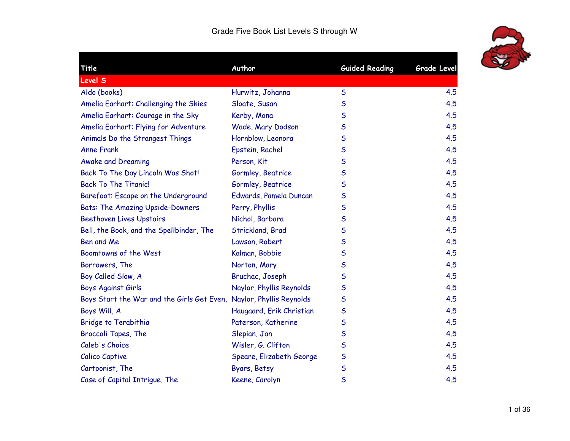

÷.

| Title                                                               | Author                   | <b>Guided Reading</b> | <b>Grade Level</b> |
|---------------------------------------------------------------------|--------------------------|-----------------------|--------------------|
| <b>Level S</b>                                                      |                          |                       |                    |
| Aldo (books)                                                        | Hurwitz, Johanna         | $\mathsf{S}$          | 4.5                |
| Amelia Earhart: Challenging the Skies                               | Sloate, Susan            | $\mathsf{S}$          | 4.5                |
| Amelia Earhart: Courage in the Sky                                  | Kerby, Mona              | $\mathsf S$           | 4.5                |
| Amelia Earhart: Flying for Adventure                                | Wade, Mary Dodson        | $\mathsf S$           | 4.5                |
| Animals Do the Strangest Things                                     | Hornblow, Leonora        | S                     | 4.5                |
| <b>Anne Frank</b>                                                   | Epstein, Rachel          | $\mathsf S$           | 4.5                |
| <b>Awake and Dreaming</b>                                           | Person, Kit              | $\mathsf{S}$          | 4.5                |
| Back To The Day Lincoln Was Shot!                                   | Gormley, Beatrice        | S                     | 4.5                |
| <b>Back To The Titanic!</b>                                         | Gormley, Beatrice        | $\mathsf S$           | 4.5                |
| Barefoot: Escape on the Underground                                 | Edwards, Pamela Duncan   | $\mathsf S$           | 4.5                |
| <b>Bats: The Amazing Upside-Downers</b>                             | Perry, Phyllis           | $\mathsf{S}$          | 4.5                |
| <b>Beethoven Lives Upstairs</b>                                     | Nichol, Barbara          | $\mathsf S$           | 4.5                |
| Bell, the Book, and the Spellbinder, The                            | Strickland, Brad         | S                     | 4.5                |
| Ben and Me                                                          | Lawson, Robert           | S                     | 4.5                |
| Boomtowns of the West                                               | Kalman, Bobbie           | $\mathsf S$           | 4.5                |
| Borrowers, The                                                      | Norton, Mary             | $\mathsf{S}$          | 4.5                |
| Boy Called Slow, A                                                  | Bruchac, Joseph          | S                     | 4.5                |
| <b>Boys Against Girls</b>                                           | Naylor, Phyllis Reynolds | $\mathsf S$           | 4.5                |
| Boys Start the War and the Girls Get Even, Naylor, Phyllis Reynolds |                          | $\mathsf S$           | 4.5                |
| Boys Will, A                                                        | Haugaard, Erik Christian | $\mathsf S$           | 4.5                |
| Bridge to Terabithia                                                | Paterson, Katherine      | $\mathsf S$           | 4.5                |
| Broccoli Tapes, The                                                 | Slepian, Jan             | S                     | 4.5                |
| Caleb's Choice                                                      | Wisler, G. Clifton       | $\mathsf S$           | 4.5                |
| Calico Captive                                                      | Speare, Elizabeth George | $\mathsf S$           | 4.5                |
| Cartoonist, The                                                     | Byars, Betsy             | $\mathsf S$           | 4.5                |
| Case of Capital Intrigue, The                                       | Keene, Carolyn           | S                     | 4.5                |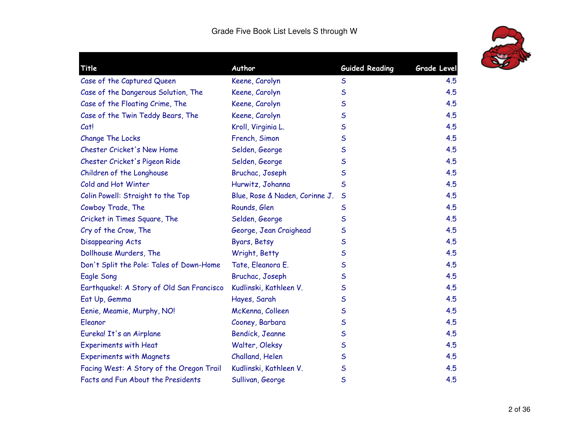

| Title                                     | Author                         | <b>Guided Reading</b> | Grade Level |
|-------------------------------------------|--------------------------------|-----------------------|-------------|
| Case of the Captured Queen                | Keene, Carolyn                 | $\sf S$               | 4.5         |
| Case of the Dangerous Solution, The       | Keene, Carolyn                 | $\mathsf{S}$          | 4.5         |
| Case of the Floating Crime, The           | Keene, Carolyn                 | $\mathsf{S}$          | 4.5         |
| Case of the Twin Teddy Bears, The         | Keene, Carolyn                 | S                     | 4.5         |
| Cat!                                      | Kroll, Virginia L.             | $\mathsf S$           | 4.5         |
| Change The Locks                          | French, Simon                  | $\mathsf{S}$          | 4.5         |
| Chester Cricket's New Home                | Selden, George                 | S                     | 4.5         |
| Chester Cricket's Pigeon Ride             | Selden, George                 | $\mathsf{S}$          | 4.5         |
| Children of the Longhouse                 | Bruchac, Joseph                | $\mathsf S$           | 4.5         |
| Cold and Hot Winter                       | Hurwitz, Johanna               | $\sf S$               | 4.5         |
| Colin Powell: Straight to the Top         | Blue, Rose & Naden, Corinne J. | $\mathsf{S}$          | 4.5         |
| Cowboy Trade, The                         | Rounds, Glen                   | $\mathsf S$           | 4.5         |
| Cricket in Times Square, The              | Selden, George                 | $\mathsf{S}$          | 4.5         |
| Cry of the Crow, The                      | George, Jean Craighead         | S                     | 4.5         |
| <b>Disappearing Acts</b>                  | Byars, Betsy                   | $\mathsf{S}$          | 4.5         |
| Dollhouse Murders, The                    | Wright, Betty                  | $\mathsf{S}$          | 4.5         |
| Don't Split the Pole: Tales of Down-Home  | Tate, Eleanora E.              | $\mathsf S$           | 4.5         |
| Eagle Song                                | Bruchac, Joseph                | $\mathsf{S}$          | 4.5         |
| Earthquake!: A Story of Old San Francisco | Kudlinski, Kathleen V.         | S                     | 4.5         |
| Eat Up, Gemma                             | Hayes, Sarah                   | $\mathsf{S}$          | 4.5         |
| Eenie, Meamie, Murphy, NO!                | McKenna, Colleen               | $\mathsf{S}$          | 4.5         |
| Eleanor                                   | Cooney, Barbara                | $\mathsf S$           | 4.5         |
| Eureka! It's an Airplane                  | Bendick, Jeanne                | $\mathsf S$           | 4.5         |
| <b>Experiments with Heat</b>              | Walter, Oleksy                 | S                     | 4.5         |
| <b>Experiments with Magnets</b>           | Challand, Helen                | $\mathsf{S}$          | 4.5         |
| Facing West: A Story of the Oregon Trail  | Kudlinski, Kathleen V.         | $\mathsf S$           | 4.5         |
| Facts and Fun About the Presidents        | Sullivan, George               | $\sf S$               | 4.5         |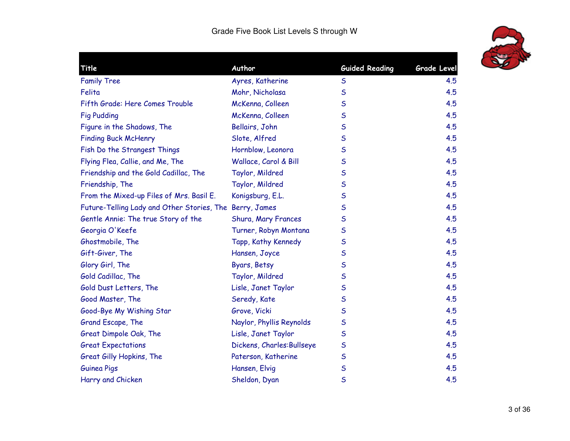

| Title                                                   | Author                     | <b>Guided Reading</b> | <b>Grade Level</b> |
|---------------------------------------------------------|----------------------------|-----------------------|--------------------|
| <b>Family Tree</b>                                      | Ayres, Katherine           | $\mathsf S$           | 4.5                |
| Felita                                                  | Mohr, Nicholasa            | S                     | 4.5                |
| Fifth Grade: Here Comes Trouble                         | McKenna, Colleen           | $\mathsf S$           | 4.5                |
| <b>Fig Pudding</b>                                      | McKenna, Colleen           | S                     | 4.5                |
| Figure in the Shadows, The                              | Bellairs, John             | S                     | 4.5                |
| <b>Finding Buck McHenry</b>                             | Slote, Alfred              | S                     | 4.5                |
| Fish Do the Strangest Things                            | Hornblow, Leonora          | S                     | 4.5                |
| Flying Flea, Callie, and Me, The                        | Wallace, Carol & Bill      | S                     | 4.5                |
| Friendship and the Gold Cadillac, The                   | Taylor, Mildred            | S                     | 4.5                |
| Friendship, The                                         | Taylor, Mildred            | S                     | 4.5                |
| From the Mixed-up Files of Mrs. Basil E.                | Konigsburg, E.L.           | $\mathsf S$           | 4.5                |
| Future-Telling Lady and Other Stories, The Berry, James |                            | S                     | 4.5                |
| Gentle Annie: The true Story of the                     | Shura, Mary Frances        | $\mathsf S$           | 4.5                |
| Georgia O'Keefe                                         | Turner, Robyn Montana      | $\mathsf S$           | 4.5                |
| Ghostmobile, The                                        | Tapp, Kathy Kennedy        | S                     | 4.5                |
| Gift-Giver, The                                         | Hansen, Joyce              | $\mathsf S$           | 4.5                |
| Glory Girl, The                                         | Byars, Betsy               | S                     | 4.5                |
| Gold Cadillac, The                                      | Taylor, Mildred            | $\mathsf S$           | 4.5                |
| Gold Dust Letters, The                                  | Lisle, Janet Taylor        | S                     | 4.5                |
| Good Master, The                                        | Seredy, Kate               | S                     | 4.5                |
| Good-Bye My Wishing Star                                | Grove, Vicki               | $\mathsf S$           | 4.5                |
| Grand Escape, The                                       | Naylor, Phyllis Reynolds   | S                     | 4.5                |
| Great Dimpole Oak, The                                  | Lisle, Janet Taylor        | S                     | 4.5                |
| <b>Great Expectations</b>                               | Dickens, Charles: Bullseye | $\mathsf S$           | 4.5                |
| Great Gilly Hopkins, The                                | Paterson, Katherine        | $\mathsf S$           | 4.5                |
| <b>Guinea Pigs</b>                                      | Hansen, Elvig              | $\mathsf S$           | 4.5                |
| Harry and Chicken                                       | Sheldon, Dyan              | $\mathsf S$           | 4.5                |
|                                                         |                            |                       |                    |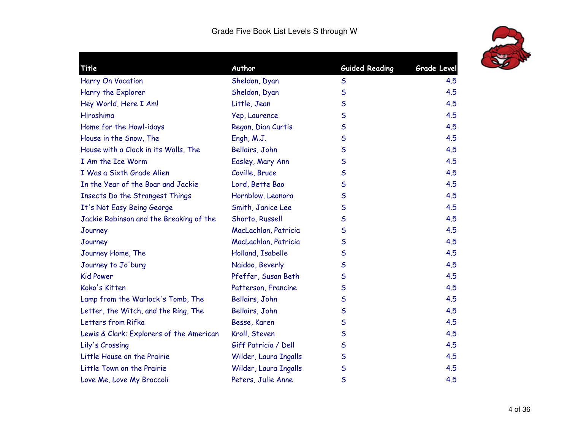

| Title                                    | Author                | <b>Guided Reading</b> | Grade Level |
|------------------------------------------|-----------------------|-----------------------|-------------|
| Harry On Vacation                        | Sheldon, Dyan         | $\mathsf S$           | 4.5         |
| Harry the Explorer                       | Sheldon, Dyan         | $\mathsf S$           | 4.5         |
| Hey World, Here I Am!                    | Little, Jean          | $\mathsf S$           | 4.5         |
| Hiroshima                                | Yep, Laurence         | $\mathsf S$           | 4.5         |
| Home for the Howl-idays                  | Regan, Dian Curtis    | $\mathsf S$           | 4.5         |
| House in the Snow, The                   | Engh, M.J.            | $\mathsf S$           | 4.5         |
| House with a Clock in its Walls, The     | Bellairs, John        | $\mathsf S$           | 4.5         |
| I Am the Ice Worm                        | Easley, Mary Ann      | $\mathsf S$           | 4.5         |
| I Was a Sixth Grade Alien                | Coville, Bruce        | $\mathsf S$           | 4.5         |
| In the Year of the Boar and Jackie       | Lord, Bette Bao       | $\mathsf{S}$          | 4.5         |
| <b>Insects Do the Strangest Things</b>   | Hornblow, Leonora     | $\mathsf S$           | 4.5         |
| It's Not Easy Being George               | Smith, Janice Lee     | $\mathsf S$           | 4.5         |
| Jackie Robinson and the Breaking of the  | Shorto, Russell       | S                     | 4.5         |
| Journey                                  | MacLachlan, Patricia  | $\mathsf S$           | 4.5         |
| Journey                                  | MacLachlan, Patricia  | $\mathsf S$           | 4.5         |
| Journey Home, The                        | Holland, Isabelle     | $\mathsf{S}$          | 4.5         |
| Journey to Jo'burg                       | Naidoo, Beverly       | S                     | 4.5         |
| <b>Kid Power</b>                         | Pfeffer, Susan Beth   | S                     | 4.5         |
| Koko's Kitten                            | Patterson, Francine   | $\mathsf S$           | 4.5         |
| Lamp from the Warlock's Tomb, The        | Bellairs, John        | $\mathsf S$           | 4.5         |
| Letter, the Witch, and the Ring, The     | Bellairs, John        | $\mathsf S$           | 4.5         |
| Letters from Rifka                       | Besse, Karen          | $\mathsf S$           | 4.5         |
| Lewis & Clark: Explorers of the American | Kroll, Steven         | $\mathsf{S}$          | 4.5         |
| Lily's Crossing                          | Giff Patricia / Dell  | $\mathsf S$           | 4.5         |
| Little House on the Prairie              | Wilder, Laura Ingalls | $\mathsf S$           | 4.5         |
| Little Town on the Prairie               | Wilder, Laura Ingalls | $\mathsf S$           | 4.5         |
| Love Me, Love My Broccoli                | Peters, Julie Anne    | $\mathsf S$           | 4.5         |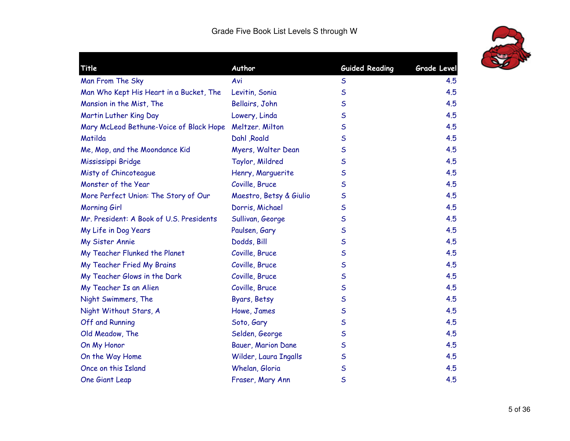

| Title                                    | Author                  | <b>Guided Reading</b> | <b>Grade Level</b> |
|------------------------------------------|-------------------------|-----------------------|--------------------|
| Man From The Sky                         | Avi                     | $\sf S$               | 4.5                |
| Man Who Kept His Heart in a Bucket, The  | Levitin, Sonia          | $\mathsf S$           | 4.5                |
| Mansion in the Mist, The                 | Bellairs, John          | $\mathsf{S}$          | 4.5                |
| Martin Luther King Day                   | Lowery, Linda           | $\mathsf S$           | 4.5                |
| Mary McLeod Bethune-Voice of Black Hope  | Meltzer. Milton         | $\mathsf S$           | 4.5                |
| Matilda                                  | Dahl Roald              | S                     | 4.5                |
| Me, Mop, and the Moondance Kid           | Myers, Walter Dean      | $\mathsf S$           | 4.5                |
| Mississippi Bridge                       | Taylor, Mildred         | $\mathsf S$           | 4.5                |
| Misty of Chincoteague                    | Henry, Marguerite       | $\mathsf S$           | 4.5                |
| Monster of the Year                      | Coville, Bruce          | $\mathsf S$           | 4.5                |
| More Perfect Union: The Story of Our     | Maestro, Betsy & Giulio | $\mathsf S$           | 4.5                |
| Morning Girl                             | Dorris, Michael         | $\mathsf S$           | 4.5                |
| Mr. President: A Book of U.S. Presidents | Sullivan, George        | $\mathsf S$           | 4.5                |
| My Life in Dog Years                     | Paulsen, Gary           | S                     | 4.5                |
| My Sister Annie                          | Dodds, Bill             | $\mathsf S$           | 4.5                |
| My Teacher Flunked the Planet            | Coville, Bruce          | $\mathsf S$           | 4.5                |
| My Teacher Fried My Brains               | Coville, Bruce          | $\mathsf S$           | 4.5                |
| My Teacher Glows in the Dark             | Coville, Bruce          | $\mathsf{S}$          | 4.5                |
| My Teacher Is an Alien                   | Coville, Bruce          | $\mathsf S$           | 4.5                |
| Night Swimmers, The                      | Byars, Betsy            | $\mathsf S$           | 4.5                |
| Night Without Stars, A                   | Howe, James             | $\sf S$               | 4.5                |
| Off and Running                          | Soto, Gary              | $\mathsf S$           | 4.5                |
| Old Meadow, The                          | Selden, George          | $\mathsf S$           | 4.5                |
| On My Honor                              | Bauer, Marion Dane      | $\mathsf S$           | 4.5                |
| On the Way Home                          | Wilder, Laura Ingalls   | $\mathsf S$           | 4.5                |
| Once on this Island                      | Whelan, Gloria          | $\mathsf S$           | 4.5                |
| One Giant Leap                           | Fraser, Mary Ann        | $\mathsf S$           | 4.5                |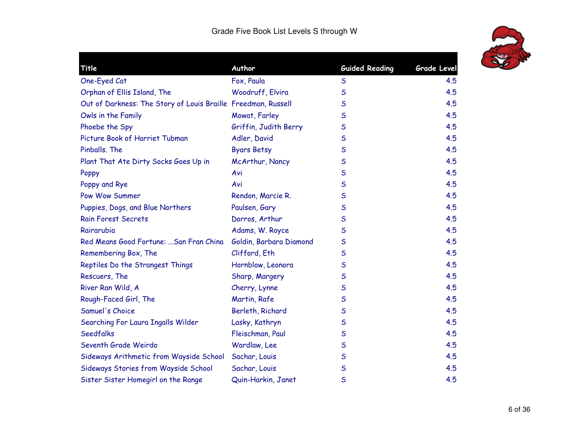

| Title                                                         | Author                  | <b>Guided Reading</b> | Grade Level |
|---------------------------------------------------------------|-------------------------|-----------------------|-------------|
| One-Eyed Cat                                                  | Fox, Paula              | $\mathsf S$           | 4.5         |
| Orphan of Ellis Island, The                                   | Woodruff, Elvira        | $\mathsf{S}$          | 4.5         |
| Out of Darkness: The Story of Louis Braille Freedman, Russell |                         | $\mathsf{S}$          | 4.5         |
| Owls in the Family                                            | Mowat, Farley           | S                     | 4.5         |
| Phoebe the Spy                                                | Griffin, Judith Berry   | S                     | 4.5         |
| Picture Book of Harriet Tubman                                | Adler, David            | S                     | 4.5         |
| Pinballs, The                                                 | <b>Byars Betsy</b>      | S                     | 4.5         |
| Plant That Ate Dirty Socks Goes Up in                         | McArthur, Nancy         | S                     | 4.5         |
| Poppy                                                         | Avi                     | S                     | 4.5         |
| Poppy and Rye                                                 | Avi                     | $\mathsf S$           | 4.5         |
| Pow Wow Summer                                                | Rendon, Marcie R.       | $\mathsf S$           | 4.5         |
| Puppies, Dogs, and Blue Northers                              | Paulsen, Gary           | S                     | 4.5         |
| Rain Forest Secrets                                           | Dorros, Arthur          | S                     | 4.5         |
| Rairarubia                                                    | Adams, W. Royce         | S                     | 4.5         |
| Red Means Good Fortune:  San Fran China                       | Goldin, Barbara Diamond | S                     | 4.5         |
| Remembering Box, The                                          | Clifford, Eth           | $\mathsf{S}$          | 4.5         |
| Reptiles Do the Strangest Things                              | Hornblow, Leonora       | S                     | 4.5         |
| Rescuers, The                                                 | Sharp, Margery          | $\mathsf S$           | 4.5         |
| River Ran Wild, A                                             | Cherry, Lynne           | S                     | 4.5         |
| Rough-Faced Girl, The                                         | Martin, Rafe            | S                     | 4.5         |
| Samuel's Choice                                               | Berleth, Richard        | S                     | 4.5         |
| Searching For Laura Ingalls Wilder                            | Lasky, Kathryn          | S                     | 4.5         |
| <b>Seedfalks</b>                                              | Fleischman, Paul        | $\mathsf S$           | 4.5         |
| Seventh Grade Weirdo                                          | Wardlaw, Lee            | S                     | 4.5         |
| Sideways Arithmetic from Wayside School                       | Sachar, Louis           | $\mathsf S$           | 4.5         |
| Sideways Stories from Wayside School                          | Sachar, Louis           | $\mathsf{S}$          | 4.5         |
| Sister Sister Homegirl on the Range                           | Quin-Harkin, Janet      | S                     | 4.5         |
|                                                               |                         |                       |             |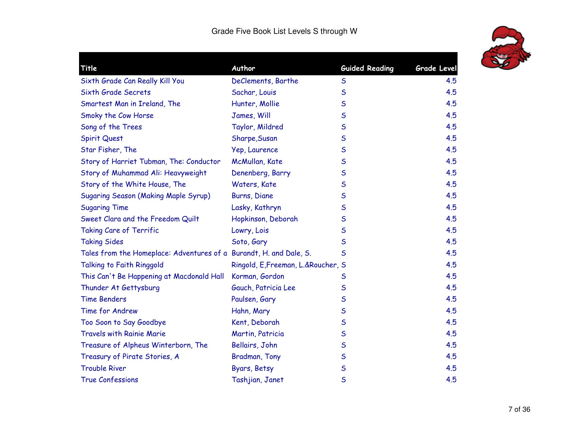

| Title                                                              | Author                              | <b>Guided Reading</b> | Grade Level |
|--------------------------------------------------------------------|-------------------------------------|-----------------------|-------------|
| Sixth Grade Can Really Kill You                                    | DeClements, Barthe                  | $\sf S$               | 4.5         |
| Sixth Grade Secrets                                                | Sachar, Louis                       | $\mathsf S$           | 4.5         |
| Smartest Man in Ireland, The                                       | Hunter, Mollie                      | $\mathsf S$           | 4.5         |
| Smoky the Cow Horse                                                | James, Will                         | $\mathsf S$           | 4.5         |
| Song of the Trees                                                  | Taylor, Mildred                     | $\mathsf S$           | 4.5         |
| <b>Spirit Quest</b>                                                | Sharpe, Susan                       | $\mathsf S$           | 4.5         |
| Star Fisher, The                                                   | Yep, Laurence                       | $\mathsf S$           | 4.5         |
| Story of Harriet Tubman, The: Conductor                            | McMullan, Kate                      | $\mathsf S$           | 4.5         |
| Story of Muhammad Ali: Heavyweight                                 | Denenberg, Barry                    | $\mathsf S$           | 4.5         |
| Story of the White House, The                                      | Waters, Kate                        | $\mathsf S$           | 4.5         |
| <b>Sugaring Season (Making Maple Syrup)</b>                        | Burns, Diane                        | $\mathsf{S}$          | 4.5         |
| <b>Sugaring Time</b>                                               | Lasky, Kathryn                      | $\mathsf S$           | 4.5         |
| Sweet Clara and the Freedom Quilt                                  | Hopkinson, Deborah                  | $\mathsf S$           | 4.5         |
| <b>Taking Care of Terrific</b>                                     | Lowry, Lois                         | $\mathsf S$           | 4.5         |
| <b>Taking Sides</b>                                                | Soto, Gary                          | $\mathsf S$           | 4.5         |
| Tales from the Homeplace: Adventures of a Burandt, H. and Dale, S. |                                     | $\mathsf{S}$          | 4.5         |
| Talking to Faith Ringgold                                          | Ringold, E, Freeman, L.& Roucher, S |                       | 4.5         |
| This Can't Be Happening at Macdonald Hall                          | Korman, Gordon                      | $\mathsf S$           | 4.5         |
| Thunder At Gettysburg                                              | Gauch, Patricia Lee                 | $\mathsf S$           | 4.5         |
| <b>Time Benders</b>                                                | Paulsen, Gary                       | $\mathsf S$           | 4.5         |
| Time for Andrew                                                    | Hahn, Mary                          | $\mathsf S$           | 4.5         |
| Too Soon to Say Goodbye                                            | Kent, Deborah                       | $\mathsf S$           | 4.5         |
| <b>Travels with Rainie Marie</b>                                   | Martin, Patricia                    | $\mathsf S$           | 4.5         |
| Treasure of Alpheus Winterborn, The                                | Bellairs, John                      | $\mathsf S$           | 4.5         |
| Treasury of Pirate Stories, A                                      | Bradman, Tony                       | $\mathsf S$           | 4.5         |
| <b>Trouble River</b>                                               | Byars, Betsy                        | $\mathsf S$           | 4.5         |
| <b>True Confessions</b>                                            | Tashjian, Janet                     | $\mathsf S$           | 4.5         |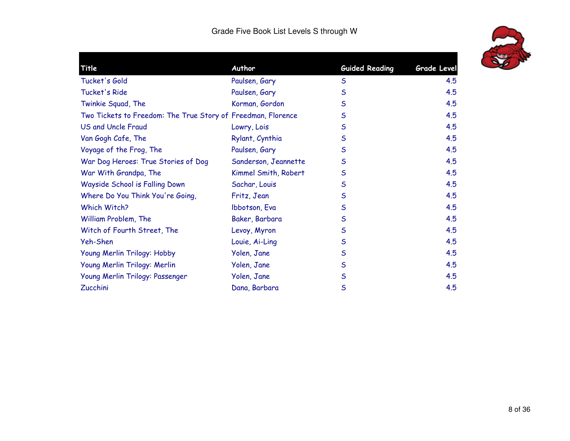| Title                                                        | Author               | <b>Guided Reading</b> | <b>Grade Level</b> |
|--------------------------------------------------------------|----------------------|-----------------------|--------------------|
| Tucket's Gold                                                | Paulsen, Gary        | $\mathsf S$           | 4.5                |
| Tucket's Ride                                                | Paulsen, Gary        | $\mathsf S$           | 4.5                |
| Twinkie Squad, The                                           | Korman, Gordon       | $\mathsf{S}$          | 4.5                |
| Two Tickets to Freedom: The True Story of Freedman, Florence |                      | $\mathsf S$           | 4.5                |
| <b>US and Uncle Fraud</b>                                    | Lowry, Lois          | $\mathsf S$           | 4.5                |
| Van Gogh Cafe, The                                           | Rylant, Cynthia      | $\mathsf{S}$          | 4.5                |
| Voyage of the Frog, The                                      | Paulsen, Gary        | $\mathsf{S}$          | 4.5                |
| War Dog Heroes: True Stories of Dog                          | Sanderson, Jeannette | $\mathsf{S}$          | 4.5                |
| War With Grandpa, The                                        | Kimmel Smith, Robert | $\mathsf S$           | 4.5                |
| Wayside School is Falling Down                               | Sachar, Louis        | $\mathsf S$           | 4.5                |
| Where Do You Think You're Going,                             | Fritz, Jean          | $\mathsf{S}$          | 4.5                |
| Which Witch?                                                 | Ibbotson, Eva        | $\mathsf S$           | 4.5                |
| William Problem, The                                         | Baker, Barbara       | $\mathsf{S}$          | 4.5                |
| Witch of Fourth Street, The                                  | Levoy, Myron         | $\mathsf{S}$          | 4.5                |
| Yeh-Shen                                                     | Louie, Ai-Ling       | $\mathsf S$           | 4.5                |
| Young Merlin Trilogy: Hobby                                  | Yolen, Jane          | $\mathsf{S}$          | 4.5                |
| Young Merlin Trilogy: Merlin                                 | Yolen, Jane          | $\mathsf{S}$          | 4.5                |
| Young Merlin Trilogy: Passenger                              | Yolen, Jane          | $\mathsf S$           | 4.5                |
| Zucchini                                                     | Dana, Barbara        | $\mathsf{S}$          | 4.5                |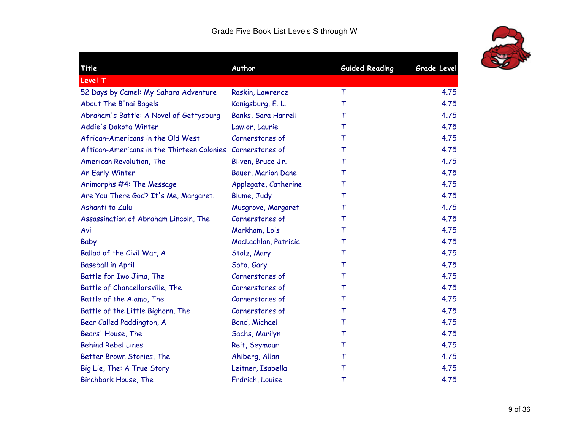| Title                                                      | Author                    | <b>Guided Reading</b> | <b>Grade Level</b> |
|------------------------------------------------------------|---------------------------|-----------------------|--------------------|
| <b>Level T</b>                                             |                           |                       |                    |
| 52 Days by Camel: My Sahara Adventure                      | Raskin, Lawrence          | $\top$                | 4.75               |
| About The B'nai Bagels                                     | Konigsburg, E. L.         | T                     | 4.75               |
| Abraham's Battle: A Novel of Gettysburg                    | Banks, Sara Harrell       | т                     | 4.75               |
| Addie's Dakota Winter                                      | Lawlor, Laurie            | т                     | 4.75               |
| African-Americans in the Old West                          | Cornerstones of           | т                     | 4.75               |
| Aftican-Americans in the Thirteen Colonies Cornerstones of |                           | т                     | 4.75               |
| American Revolution, The                                   | Bliven, Bruce Jr.         | т                     | 4.75               |
| An Early Winter                                            | <b>Bauer, Marion Dane</b> | Τ                     | 4.75               |
| Animorphs #4: The Message                                  | Applegate, Catherine      | т                     | 4.75               |
| Are You There God? It's Me, Margaret.                      | Blume, Judy               | T                     | 4.75               |
| Ashanti to Zulu                                            | Musgrove, Margaret        | т                     | 4.75               |
| Assassination of Abraham Lincoln, The                      | Cornerstones of           | т                     | 4.75               |
| Avi                                                        | Markham, Lois             | т                     | 4.75               |
| Baby                                                       | MacLachlan, Patricia      | Τ                     | 4.75               |
| Ballad of the Civil War, A                                 | Stolz, Mary               | T                     | 4.75               |
| <b>Baseball in April</b>                                   | Soto, Gary                | т                     | 4.75               |
| Battle for Iwo Jima, The                                   | Cornerstones of           | т                     | 4.75               |
| Battle of Chancellorsville, The                            | Cornerstones of           | Τ                     | 4.75               |
| Battle of the Alamo, The                                   | Cornerstones of           | т                     | 4.75               |
| Battle of the Little Bighorn, The                          | Cornerstones of           | T                     | 4.75               |
| Bear Called Paddington, A                                  | <b>Bond, Michael</b>      | т                     | 4.75               |
| Bears' House, The                                          | Sachs, Marilyn            | т                     | 4.75               |
| <b>Behind Rebel Lines</b>                                  | Reit, Seymour             | Τ                     | 4.75               |
| Better Brown Stories, The                                  | Ahlberg, Allan            | Τ                     | 4.75               |
| Big Lie, The: A True Story                                 | Leitner, Isabella         | т                     | 4.75               |
| Birchbark House, The                                       | Erdrich, Louise           | Τ                     | 4.75               |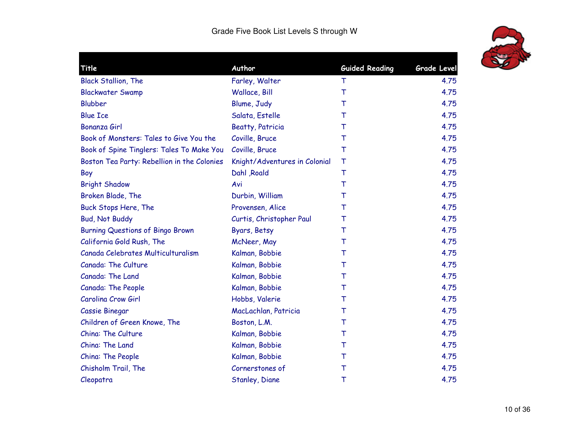

| Title                                       | Author                        | <b>Guided Reading</b> | <b>Grade Level</b> |
|---------------------------------------------|-------------------------------|-----------------------|--------------------|
| <b>Black Stallion, The</b>                  | Farley, Walter                | $\top$                | 4.75               |
| <b>Blackwater Swamp</b>                     | Wallace, Bill                 | $\top$                | 4.75               |
| <b>Blubber</b>                              | Blume, Judy                   | т                     | 4.75               |
| <b>Blue Ice</b>                             | Salata, Estelle               | т                     | 4.75               |
| <b>Bonanza Girl</b>                         | <b>Beatty, Patricia</b>       | т                     | 4.75               |
| Book of Monsters: Tales to Give You the     | Coville, Bruce                | т                     | 4.75               |
| Book of Spine Tinglers: Tales To Make You   | Coville, Bruce                | $\top$                | 4.75               |
| Boston Tea Party: Rebellion in the Colonies | Knight/Adventures in Colonial | $\top$                | 4.75               |
| Boy                                         | Dahl , Roald                  | $\top$                | 4.75               |
| <b>Bright Shadow</b>                        | Avi                           | $\top$                | 4.75               |
| Broken Blade, The                           | Durbin, William               | Т                     | 4.75               |
| Buck Stops Here, The                        | Provensen, Alice              | T                     | 4.75               |
| <b>Bud, Not Buddy</b>                       | Curtis, Christopher Paul      | т                     | 4.75               |
| <b>Burning Questions of Bingo Brown</b>     | Byars, Betsy                  | Τ                     | 4.75               |
| California Gold Rush, The                   | McNeer, May                   | т                     | 4.75               |
| Canada Celebrates Multiculturalism          | Kalman, Bobbie                | т                     | 4.75               |
| Canada: The Culture                         | Kalman, Bobbie                | т                     | 4.75               |
| Canada: The Land                            | Kalman, Bobbie                | т                     | 4.75               |
| Canada: The People                          | Kalman, Bobbie                | т                     | 4.75               |
| Carolina Crow Girl                          | Hobbs, Valerie                | т                     | 4.75               |
| Cassie Binegar                              | MacLachlan, Patricia          | т                     | 4.75               |
| Children of Green Knowe, The                | Boston, L.M.                  | T                     | 4.75               |
| China: The Culture                          | Kalman, Bobbie                | т                     | 4.75               |
| China: The Land                             | Kalman, Bobbie                | т                     | 4.75               |
| China: The People                           | Kalman, Bobbie                | Т                     | 4.75               |
| Chisholm Trail, The                         | Cornerstones of               | T                     | 4.75               |
| Cleopatra                                   | Stanley, Diane                | Τ                     | 4.75               |
|                                             |                               |                       |                    |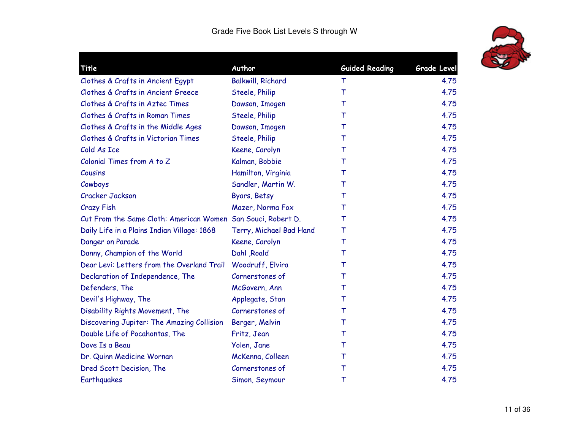

| Title                                                        | Author                  | <b>Guided Reading</b> | <b>Grade Level</b> |
|--------------------------------------------------------------|-------------------------|-----------------------|--------------------|
| Clothes & Crafts in Ancient Egypt                            | Balkwill, Richard       | T                     | 4.75               |
| Clothes & Crafts in Ancient Greece                           | Steele, Philip          | T                     | 4.75               |
| Clothes & Crafts in Aztec Times                              | Dawson, Imogen          | т                     | 4.75               |
| Clothes & Crafts in Roman Times                              | Steele, Philip          | т                     | 4.75               |
| Clothes & Crafts in the Middle Ages                          | Dawson, Imogen          | T                     | 4.75               |
| Clothes & Crafts in Victorian Times                          | Steele, Philip          | т                     | 4.75               |
| Cold As Ice                                                  | Keene, Carolyn          | т                     | 4.75               |
| Colonial Times from A to Z                                   | Kalman, Bobbie          | т                     | 4.75               |
| Cousins                                                      | Hamilton, Virginia      | т                     | 4.75               |
| Cowboys                                                      | Sandler, Martin W.      | т                     | 4.75               |
| Cracker Jackson                                              | Byars, Betsy            | т                     | 4.75               |
| <b>Crazy Fish</b>                                            | Mazer, Norma Fox        | т                     | 4.75               |
| Cut From the Same Cloth: American Women San Souci, Robert D. |                         | т                     | 4.75               |
| Daily Life in a Plains Indian Village: 1868                  | Terry, Michael Bad Hand | T                     | 4.75               |
| Danger on Parade                                             | Keene, Carolyn          | T                     | 4.75               |
| Danny, Champion of the World                                 | Dahl Roald              | T                     | 4.75               |
| Dear Levi: Letters from the Overland Trail                   | Woodruff, Elvira        | т                     | 4.75               |
| Declaration of Independence, The                             | Cornerstones of         | T                     | 4.75               |
| Defenders, The                                               | McGovern, Ann           | Т                     | 4.75               |
| Devil's Highway, The                                         | Applegate, Stan         | т                     | 4.75               |
| Disability Rights Movement, The                              | Cornerstones of         | T                     | 4.75               |
| Discovering Jupiter: The Amazing Collision                   | Berger, Melvin          | Т                     | 4.75               |
| Double Life of Pocahontas, The                               | Fritz, Jean             | т                     | 4.75               |
| Dove Is a Beau                                               | Yolen, Jane             | т                     | 4.75               |
| Dr. Quinn Medicine Wornan                                    | McKenna, Colleen        | т                     | 4.75               |
| Dred Scott Decision, The                                     | Cornerstones of         | т                     | 4.75               |
| Earthquakes                                                  | Simon, Seymour          | Τ                     | 4.75               |
|                                                              |                         |                       |                    |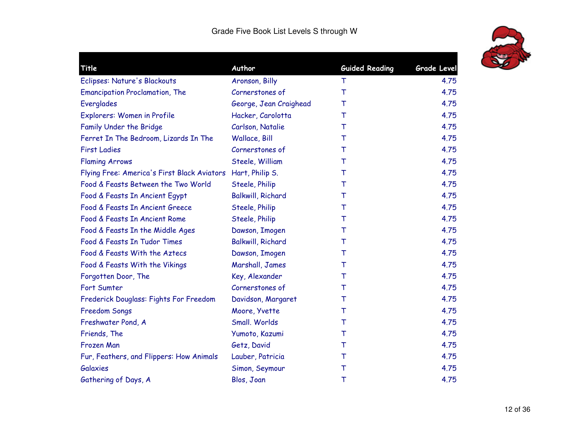

| Author                   |                                                                               | Grade Level           |
|--------------------------|-------------------------------------------------------------------------------|-----------------------|
|                          | Τ                                                                             | 4.75                  |
| Cornerstones of          | $\top$                                                                        | 4.75                  |
| George, Jean Craighead   | т                                                                             | 4.75                  |
| Hacker, Carolotta        | т                                                                             | 4.75                  |
| Carlson, Natalie         | т                                                                             | 4.75                  |
| Wallace, Bill            | Т                                                                             | 4.75                  |
| Cornerstones of          | т                                                                             | 4.75                  |
| Steele, William          | т                                                                             | 4.75                  |
|                          | т                                                                             | 4.75                  |
| Steele, Philip           | т                                                                             | 4.75                  |
| <b>Balkwill, Richard</b> | т                                                                             | 4.75                  |
| Steele, Philip           | т                                                                             | 4.75                  |
| Steele, Philip           | т                                                                             | 4.75                  |
| Dawson, Imogen           | т                                                                             | 4.75                  |
| <b>Balkwill, Richard</b> | т                                                                             | 4.75                  |
| Dawson, Imogen           | т                                                                             | 4.75                  |
| Marshall, James          | т                                                                             | 4.75                  |
| Key, Alexander           | т                                                                             | 4.75                  |
| Cornerstones of          | т                                                                             | 4.75                  |
| Davidson, Margaret       | т                                                                             | 4.75                  |
| Moore, Yvette            | т                                                                             | 4.75                  |
| Small. Worlds            | т                                                                             | 4.75                  |
| Yumoto, Kazumi           | т                                                                             | 4.75                  |
| Getz, David              | т                                                                             | 4.75                  |
| Lauber, Patricia         | Т                                                                             | 4.75                  |
| Simon, Seymour           | Τ                                                                             | 4.75                  |
| Blos, Joan               | Τ                                                                             | 4.75                  |
|                          | Aronson, Billy<br>Flying Free: America's First Black Aviators Hart, Philip S. | <b>Guided Reading</b> |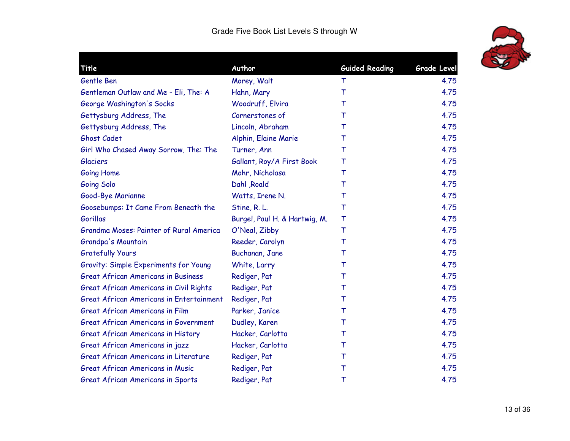

| Title                                           | Author                        | <b>Guided Reading</b> | <b>Grade Level</b> |
|-------------------------------------------------|-------------------------------|-----------------------|--------------------|
| Gentle Ben                                      | Morey, Walt                   | т                     | 4.75               |
| Gentleman Outlaw and Me - Eli, The: A           | Hahn, Mary                    | T                     | 4.75               |
| George Washington's Socks                       | Woodruff, Elvira              | т                     | 4.75               |
| Gettysburg Address, The                         | Cornerstones of               | т                     | 4.75               |
| Gettysburg Address, The                         | Lincoln, Abraham              | т                     | 4.75               |
| Ghost Cadet                                     | Alphin, Elaine Marie          | т                     | 4.75               |
| Girl Who Chased Away Sorrow, The: The           | Turner, Ann                   | т                     | 4.75               |
| <b>Glaciers</b>                                 | Gallant, Roy/A First Book     | т                     | 4.75               |
| Going Home                                      | Mohr, Nicholasa               | т                     | 4.75               |
| Going Solo                                      | Dahl , Roald                  | т                     | 4.75               |
| Good-Bye Marianne                               | Watts, Irene N.               | Т                     | 4.75               |
| Goosebumps: It Came From Beneath the            | Stine, R. L.                  | T                     | 4.75               |
| Gorillas                                        | Burgel, Paul H. & Hartwig, M. | Τ                     | 4.75               |
| Grandma Moses: Painter of Rural America         | O'Neal, Zibby                 | т                     | 4.75               |
| Grandpa's Mountain                              | Reeder, Carolyn               | т                     | 4.75               |
| <b>Gratefully Yours</b>                         | Buchanan, Jane                | т                     | 4.75               |
| <b>Gravity: Simple Experiments for Young</b>    | White, Larry                  | т                     | 4.75               |
| <b>Great African Americans in Business</b>      | Rediger, Pat                  | т                     | 4.75               |
| Great African Americans in Civil Rights         | Rediger, Pat                  | т                     | 4.75               |
| <b>Great African Americans in Entertainment</b> | Rediger, Pat                  | т                     | 4.75               |
| Great African Americans in Film                 | Parker, Janice                | Т                     | 4.75               |
| Great African Americans in Government           | Dudley, Karen                 | т                     | 4.75               |
| Great African Americans in History              | Hacker, Carlotta              | т                     | 4.75               |
| Great African Americans in jazz                 | Hacker, Carlotta              | т                     | 4.75               |
| Great African Americans in Literature           | Rediger, Pat                  | т                     | 4.75               |
| <b>Great African Americans in Music</b>         | Rediger, Pat                  | Т                     | 4.75               |
| Great African Americans in Sports               | Rediger, Pat                  | Τ                     | 4.75               |
|                                                 |                               |                       |                    |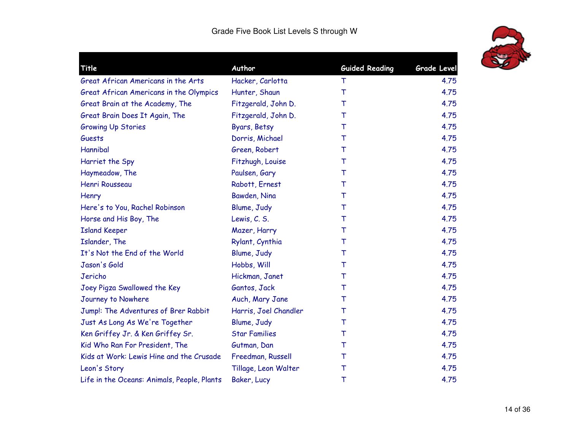

|                       | <b>Guided Reading</b> | <b>Grade Level</b> |
|-----------------------|-----------------------|--------------------|
| Hacker, Carlotta      | т                     | 4.75               |
| Hunter, Shaun         | $\top$                | 4.75               |
| Fitzgerald, John D.   | т                     | 4.75               |
| Fitzgerald, John D.   | т                     | 4.75               |
| Byars, Betsy          | т                     | 4.75               |
| Dorris, Michael       | т                     | 4.75               |
| Green, Robert         | т                     | 4.75               |
| Fitzhugh, Louise      | Т                     | 4.75               |
| Paulsen, Gary         | T                     | 4.75               |
| Rabott, Ernest        | т                     | 4.75               |
| Bawden, Nina          | Τ                     | 4.75               |
| Blume, Judy           | Т                     | 4.75               |
| Lewis, C. S.          | Т                     | 4.75               |
| Mazer, Harry          | T                     | 4.75               |
| Rylant, Cynthia       | $\top$                | 4.75               |
| Blume, Judy           | Τ                     | 4.75               |
| Hobbs, Will           | Τ                     | 4.75               |
| Hickman, Janet        | т                     | 4.75               |
| Gantos, Jack          | T                     | 4.75               |
| Auch, Mary Jane       | т                     | 4.75               |
| Harris, Joel Chandler | T                     | 4.75               |
| Blume, Judy           | $\top$                | 4.75               |
| <b>Star Families</b>  | т                     | 4.75               |
| Gutman, Dan           | т                     | 4.75               |
| Freedman, Russell     | Т                     | 4.75               |
| Tillage, Leon Walter  | Τ                     | 4.75               |
| Baker, Lucy           | Τ                     | 4.75               |
|                       | Author                |                    |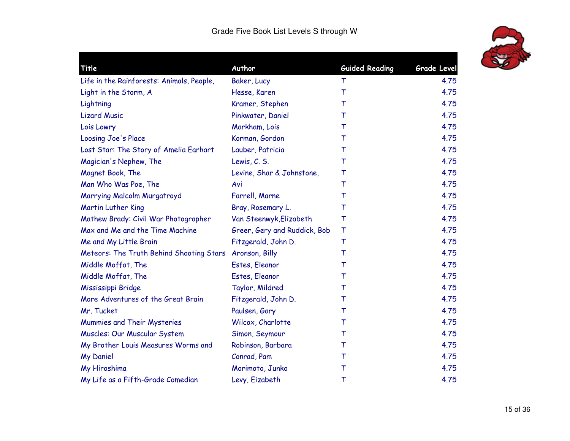

| Life in the Rainforests: Animals, People,<br>Baker, Lucy<br>Light in the Storm, A<br>Hesse, Karen | т<br>T<br>т<br>т | 4.75<br>4.75<br>4.75 |
|---------------------------------------------------------------------------------------------------|------------------|----------------------|
|                                                                                                   |                  |                      |
|                                                                                                   |                  |                      |
| Kramer, Stephen<br>Lightning                                                                      |                  |                      |
| <b>Lizard Music</b><br>Pinkwater, Daniel                                                          |                  | 4.75                 |
| Lois Lowry<br>Markham, Lois                                                                       | т                | 4.75                 |
| Loosing Joe's Place<br>Korman, Gordon                                                             | т                | 4.75                 |
| Lost Star: The Story of Amelia Earhart<br>Lauber, Patricia                                        | т                | 4.75                 |
| Magician's Nephew, The<br>Lewis, C. S.                                                            | т                | 4.75                 |
| Magnet Book, The<br>Levine, Shar & Johnstone,                                                     | т                | 4.75                 |
| Man Who Was Poe, The<br>Avi                                                                       | т                | 4.75                 |
| Marrying Malcolm Murgatroyd<br>Farrell, Marne                                                     | т                | 4.75                 |
| <b>Martin Luther King</b><br>Bray, Rosemary L.                                                    | т                | 4.75                 |
| Mathew Brady: Civil War Photographer<br>Van Steenwyk, Elizabeth                                   | Т                | 4.75                 |
| Max and Me and the Time Machine<br>Greer, Gery and Ruddick, Bob                                   | т                | 4.75                 |
| Me and My Little Brain<br>Fitzgerald, John D.                                                     | $\top$           | 4.75                 |
| Meteors: The Truth Behind Shooting Stars<br>Aronson, Billy                                        | т                | 4.75                 |
| Estes, Eleanor<br>Middle Moffat, The                                                              | т                | 4.75                 |
| Middle Moffat, The<br>Estes, Eleanor                                                              | т                | 4.75                 |
| Mississippi Bridge<br>Taylor, Mildred                                                             | т                | 4.75                 |
| More Adventures of the Great Brain<br>Fitzgerald, John D.                                         | т                | 4.75                 |
| Mr. Tucket<br>Paulsen, Gary                                                                       | т                | 4.75                 |
| Mummies and Their Mysteries<br>Wilcox, Charlotte                                                  | т                | 4.75                 |
| Muscles: Our Muscular System<br>Simon, Seymour                                                    | т                | 4.75                 |
| My Brother Louis Measures Worms and<br>Robinson, Barbara                                          | т                | 4.75                 |
| <b>My Daniel</b><br>Conrad, Pam                                                                   | т                | 4.75                 |
| My Hiroshima<br>Morimoto, Junko                                                                   | Τ                | 4.75                 |
| My Life as a Fifth-Grade Comedian<br>Levy, Eizabeth                                               | Τ                | 4.75                 |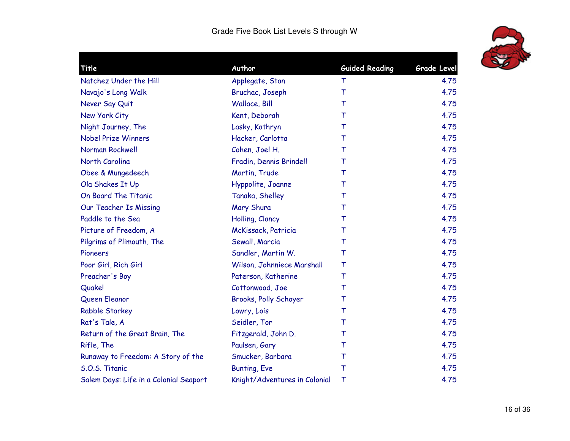

| Title                                  | Author                        | <b>Guided Reading</b> | <b>Grade Level</b> |
|----------------------------------------|-------------------------------|-----------------------|--------------------|
| Natchez Under the Hill                 | Applegate, Stan               | т                     | 4.75               |
| Navajo's Long Walk                     | Bruchac, Joseph               | T                     | 4.75               |
| Never Say Quit                         | Wallace, Bill                 | т                     | 4.75               |
| New York City                          | Kent, Deborah                 | т                     | 4.75               |
| Night Journey, The                     | Lasky, Kathryn                | T                     | 4.75               |
| <b>Nobel Prize Winners</b>             | Hacker, Carlotta              | т                     | 4.75               |
| Norman Rockwell                        | Cohen, Joel H.                | т                     | 4.75               |
| North Carolina                         | Fradin, Dennis Brindell       | т                     | 4.75               |
| Obee & Mungedeech                      | Martin, Trude                 | т                     | 4.75               |
| Ola Shakes It Up                       | Hyppolite, Joanne             | т                     | 4.75               |
| On Board The Titanic                   | Tanaka, Shelley               | т                     | 4.75               |
| Our Teacher Is Missing                 | Mary Shura                    | т                     | 4.75               |
| Paddle to the Sea                      | Holling, Clancy               | т                     | 4.75               |
| Picture of Freedom, A                  | McKissack, Patricia           | т                     | 4.75               |
| Pilgrims of Plimouth, The              | Sewall, Marcia                | T                     | 4.75               |
| Pioneers                               | Sandler, Martin W.            | т                     | 4.75               |
| Poor Girl, Rich Girl                   | Wilson, Johnniece Marshall    | Τ                     | 4.75               |
| Preacher's Boy                         | Paterson, Katherine           | T                     | 4.75               |
| Quake!                                 | Cottonwood, Joe               | т                     | 4.75               |
| Queen Eleanor                          | Brooks, Polly Schoyer         | т                     | 4.75               |
| <b>Rabble Starkey</b>                  | Lowry, Lois                   | T                     | 4.75               |
| Rat's Tale, A                          | Seidler, Tor                  | т                     | 4.75               |
| Return of the Great Brain, The         | Fitzgerald, John D.           | т                     | 4.75               |
| Rifle, The                             | Paulsen, Gary                 | т                     | 4.75               |
| Runaway to Freedom: A Story of the     | Smucker, Barbara              | Τ                     | 4.75               |
| S.O.S. Titanic                         | Bunting, Eve                  | Τ                     | 4.75               |
| Salem Days: Life in a Colonial Seaport | Knight/Adventures in Colonial | $\top$                | 4.75               |
|                                        |                               |                       |                    |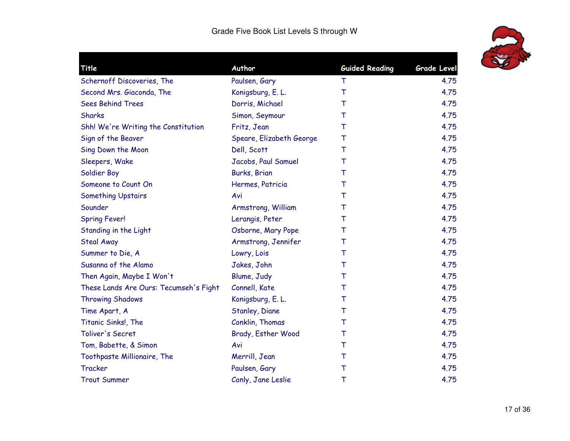

| <b>Guided Reading</b><br>Grade Level<br>4.75<br>4.75<br>4.75<br>4.75<br>4.75<br>4.75 |
|--------------------------------------------------------------------------------------|
|                                                                                      |
|                                                                                      |
|                                                                                      |
|                                                                                      |
|                                                                                      |
|                                                                                      |
| 4.75                                                                                 |
| 4.75                                                                                 |
| 4.75                                                                                 |
| 4.75                                                                                 |
| 4.75                                                                                 |
| 4.75                                                                                 |
| 4.75                                                                                 |
| 4.75                                                                                 |
| 4.75                                                                                 |
| 4.75                                                                                 |
| 4.75                                                                                 |
| 4.75                                                                                 |
| 4.75                                                                                 |
| 4.75                                                                                 |
| 4.75                                                                                 |
| 4.75                                                                                 |
| 4.75                                                                                 |
| 4.75                                                                                 |
| 4.75                                                                                 |
| 4.75                                                                                 |
| 4.75                                                                                 |
|                                                                                      |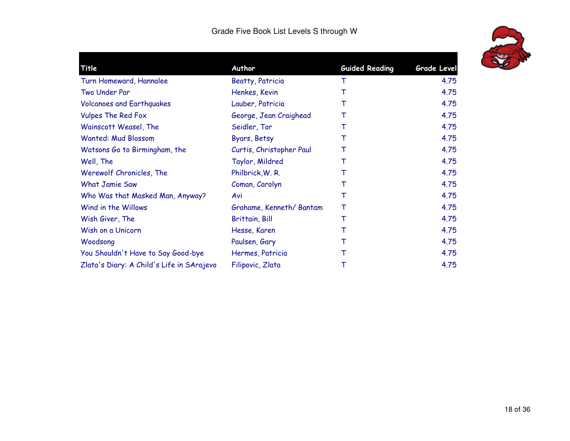

| Title                                     | Author                   | <b>Guided Reading</b> | <b>Grade Level</b> |
|-------------------------------------------|--------------------------|-----------------------|--------------------|
| Turn Homeward, Hannalee                   | <b>Beatty, Patricia</b>  | т                     | 4.75               |
| Two Under Par                             | Henkes, Kevin            | Т                     | 4.75               |
| <b>Volcanoes and Earthquakes</b>          | Lauber, Patricia         | Т                     | 4.75               |
| <b>Vulpes The Red Fox</b>                 | George, Jean Craighead   | Т                     | 4.75               |
| Wainscott Weasel, The                     | Seidler, Tor             | Т                     | 4.75               |
| <b>Wanted: Mud Blossom</b>                | Byars, Betsy             | Т                     | 4.75               |
| Watsons Go to Birmingham, the             | Curtis, Christopher Paul | Т                     | 4.75               |
| Well, The                                 | Taylor, Mildred          | Т                     | 4.75               |
| Werewolf Chronicles, The                  | Philbrick, W. R.         | Т                     | 4.75               |
| <b>What Jamie Saw</b>                     | Coman, Carolyn           | Т                     | 4.75               |
| Who Was that Masked Man, Anyway?          | Avi                      | Т                     | 4.75               |
| Wind in the Willows                       | Grahame, Kenneth/Bantam  | Т                     | 4.75               |
| Wish Giver, The                           | <b>Brittain, Bill</b>    | Т                     | 4.75               |
| Wish on a Unicorn                         | Hesse, Karen             | Т                     | 4.75               |
| Woodsong                                  | Paulsen, Gary            | Т                     | 4.75               |
| You Shouldn't Have to Say Good-bye        | Hermes, Patricia         | Т                     | 4.75               |
| Zlata's Diary: A Child's Life in SArajevo | Filipovic, Zlata         | Т                     | 4.75               |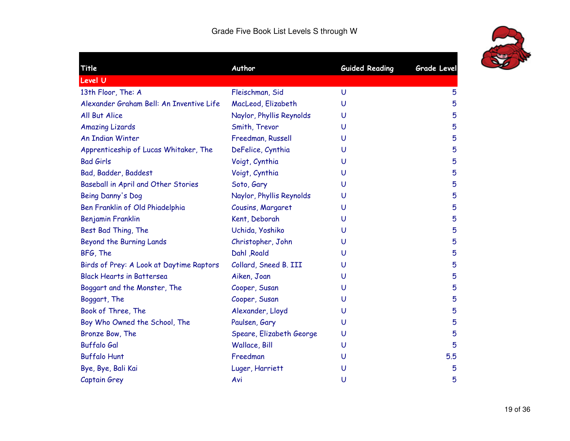| Title                                    | Author                   | <b>Guided Reading</b> | <b>Grade Level</b> |
|------------------------------------------|--------------------------|-----------------------|--------------------|
| Level U                                  |                          |                       |                    |
| 13th Floor, The: A                       | Fleischman, Sid          | $\cup$                | 5                  |
| Alexander Graham Bell: An Inventive Life | MacLeod, Elizabeth       | U                     | 5                  |
| All But Alice                            | Naylor, Phyllis Reynolds | U                     | 5                  |
| <b>Amazing Lizards</b>                   | Smith, Trevor            | U                     | 5                  |
| <b>An Indian Winter</b>                  | Freedman, Russell        | U                     | 5                  |
| Apprenticeship of Lucas Whitaker, The    | DeFelice, Cynthia        | U                     | 5                  |
| <b>Bad Girls</b>                         | Voigt, Cynthia           | U                     | 5                  |
| Bad, Badder, Baddest                     | Voigt, Cynthia           | U                     | 5                  |
| Baseball in April and Other Stories      | Soto, Gary               | U                     | 5                  |
| Being Danny's Dog                        | Naylor, Phyllis Reynolds | U                     | 5                  |
| Ben Franklin of Old Phiadelphia          | Cousins, Margaret        | U                     | 5                  |
| Benjamin Franklin                        | Kent, Deborah            | U                     | 5                  |
| Best Bad Thing, The                      | Uchida, Yoshiko          | U                     | 5                  |
| Beyond the Burning Lands                 | Christopher, John        | U                     | 5                  |
| BFG, The                                 | Dahl , Roald             | U                     | 5                  |
| Birds of Prey: A Look at Daytime Raptors | Collard, Sneed B. III    | U                     | 5                  |
| <b>Black Hearts in Battersea</b>         | Aiken, Joan              | U                     | 5                  |
| Boggart and the Monster, The             | Cooper, Susan            | U                     | 5                  |
| Boggart, The                             | Cooper, Susan            | U                     | 5                  |
| Book of Three, The                       | Alexander, Lloyd         | U                     | 5                  |
| Boy Who Owned the School, The            | Paulsen, Gary            | U                     | 5                  |
| Bronze Bow, The                          | Speare, Elizabeth George | U                     | 5                  |
| <b>Buffalo Gal</b>                       | Wallace, Bill            | U                     | 5                  |
| <b>Buffalo Hunt</b>                      | Freedman                 | U                     | 5.5                |
| Bye, Bye, Bali Kai                       | Luger, Harriett          | U                     | 5                  |
| Captain Grey                             | Avi                      | U                     | 5                  |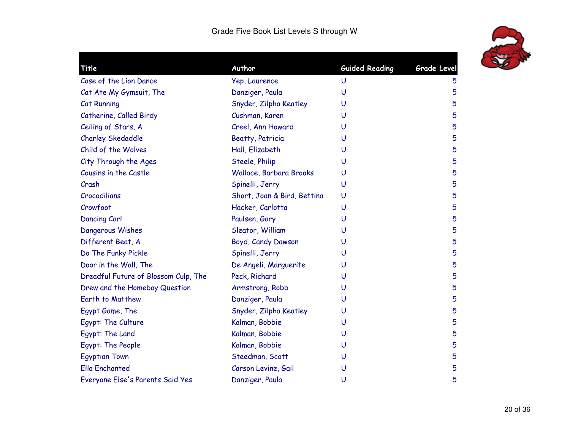

| Title                                | Author                      | <b>Guided Reading</b> | Grade Level |
|--------------------------------------|-----------------------------|-----------------------|-------------|
| Case of the Lion Dance               | Yep, Laurence               | U                     | 5           |
| Cat Ate My Gymsuit, The              | Danziger, Paula             | U                     | 5           |
| <b>Cat Running</b>                   | Snyder, Zilpha Keatley      | U                     | 5           |
| Catherine, Called Birdy              | Cushman, Karen              | U                     | 5           |
| Ceiling of Stars, A                  | Creel, Ann Howard           | U                     | 5           |
| <b>Charley Skedaddle</b>             | <b>Beatty, Patricia</b>     | U                     | 5           |
| Child of the Wolves                  | Hall, Elizabeth             | U                     | 5           |
| City Through the Ages                | Steele, Philip              | U                     | 5           |
| Cousins in the Castle                | Wallace, Barbara Brooks     | U                     | 5           |
| Crash                                | Spinelli, Jerry             | U                     | 5           |
| Crocodilians                         | Short, Joan & Bird, Bettina | U                     | 5           |
| Crowfoot                             | Hacker, Carlotta            | U                     | 5           |
| Dancing Carl                         | Paulsen, Gary               | U                     | 5           |
| Dangerous Wishes                     | Sleator, William            | U                     | 5           |
| Different Beat, A                    | Boyd, Candy Dawson          | U                     | 5           |
| Do The Funky Pickle                  | Spinelli, Jerry             | U                     | 5           |
| Door in the Wall, The                | De Angeli, Marguerite       | U                     | 5           |
| Dreadful Future of Blossom Culp, The | Peck, Richard               | U                     | 5           |
| Drew and the Homeboy Question        | Armstrong, Robb             | U                     | 5           |
| Earth to Matthew                     | Danziger, Paula             | U                     | 5           |
| Egypt Game, The                      | Snyder, Zilpha Keatley      | U                     | 5           |
| Egypt: The Culture                   | Kalman, Bobbie              | U                     | 5           |
| Egypt: The Land                      | Kalman, Bobbie              | U                     | 5           |
| Egypt: The People                    | Kalman, Bobbie              | U                     | 5           |
| <b>Egyptian Town</b>                 | Steedman, Scott             | U                     | 5           |
| <b>Ella Enchanted</b>                | Carson Levine, Gail         | U                     | 5           |
| Everyone Else's Parents Said Yes     | Danziger, Paula             | U                     | 5           |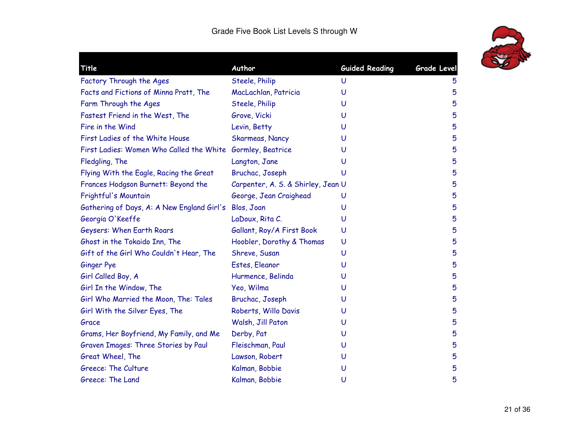

| Title                                                      | Author                             | <b>Guided Reading</b> | Grade Level |
|------------------------------------------------------------|------------------------------------|-----------------------|-------------|
| Factory Through the Ages                                   | Steele, Philip                     | U                     | 5           |
| Facts and Fictions of Minna Pratt, The                     | MacLachlan, Patricia               | U                     | 5           |
| Farm Through the Ages                                      | Steele, Philip                     | U                     | 5           |
| Fastest Friend in the West, The                            | Grove, Vicki                       | U                     | 5           |
| Fire in the Wind                                           | Levin, Betty                       | U                     | 5           |
| First Ladies of the White House                            | <b>Skarmeas, Nancy</b>             | U                     | 5           |
| First Ladies: Women Who Called the White Gormley, Beatrice |                                    | U                     | 5           |
| Fledgling, The                                             | Langton, Jane                      | U                     | 5           |
| Flying With the Eagle, Racing the Great                    | Bruchac, Joseph                    | U                     | 5           |
| Frances Hodgson Burnett: Beyond the                        | Carpenter, A. S. & Shirley, Jean U |                       | 5           |
| Frightful's Mountain                                       | George, Jean Craighead             | U                     | 5           |
| Gathering of Days, A: A New England Girl's                 | Blos, Joan                         | U                     | 5           |
| Georgia O'Keeffe                                           | LaDoux, Rita C.                    | U                     | 5           |
| Geysers: When Earth Roars                                  | Gallant, Roy/A First Book          | U                     | 5           |
| Ghost in the Tokaido Inn, The                              | Hoobler, Dorothy & Thomas          | U                     | 5           |
| Gift of the Girl Who Couldn't Hear, The                    | Shreve, Susan                      | U                     | 5           |
| <b>Ginger Pye</b>                                          | Estes, Eleanor                     | U                     | 5           |
| Girl Called Boy, A                                         | Hurmence, Belinda                  | U                     | 5           |
| Girl In the Window, The                                    | Yeo, Wilma                         | U                     | 5           |
| Girl Who Married the Moon, The: Tales                      | Bruchac, Joseph                    | U                     | 5           |
| Girl With the Silver Eyes, The                             | Roberts, Willo Davis               | U                     | 5           |
| Grace                                                      | Walsh, Jill Paton                  | U                     | 5           |
| Grams, Her Boyfriend, My Family, and Me                    | Derby, Pat                         | U                     | 5           |
| Graven Images: Three Stories by Paul                       | Fleischman, Paul                   | U                     | 5           |
| Great Wheel, The                                           | Lawson, Robert                     | U                     | 5           |
| Greece: The Culture                                        | Kalman, Bobbie                     | U                     | 5           |
| Greece: The Land                                           | Kalman, Bobbie                     | U                     | 5           |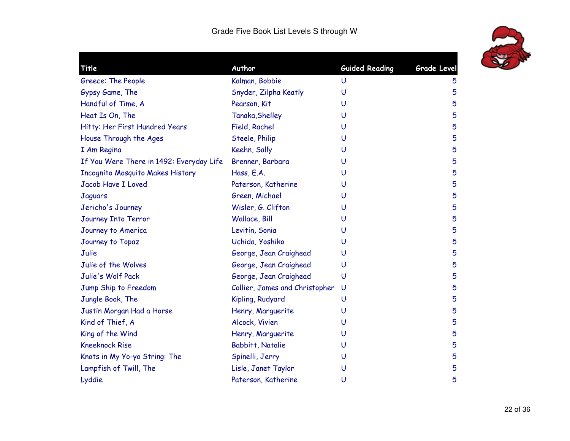

| Title                                    | Author                         | <b>Guided Reading</b> | Grade Level |
|------------------------------------------|--------------------------------|-----------------------|-------------|
| Greece: The People                       | Kalman, Bobbie                 | U                     | 5           |
| Gypsy Game, The                          | Snyder, Zilpha Keatly          | U                     | 5           |
| Handful of Time, A                       | Pearson, Kit                   | U                     | 5           |
| Heat Is On, The                          | Tanaka, Shelley                | U                     | 5           |
| Hitty: Her First Hundred Years           | Field, Rachel                  | U                     | 5           |
| House Through the Ages                   | Steele, Philip                 | U                     | 5           |
| I Am Regina                              | Keehn, Sally                   | U                     | 5           |
| If You Were There in 1492: Everyday Life | Brenner, Barbara               | U                     | 5           |
| <b>Incognito Mosquito Makes History</b>  | Hass, E.A.                     | U                     | 5           |
| <b>Jacob Have I Loved</b>                | Paterson, Katherine            | U                     | 5           |
| Jaguars                                  | Green, Michael                 | U                     | 5           |
| Jericho's Journey                        | Wisler, G. Clifton             | U                     | 5           |
| Journey Into Terror                      | Wallace, Bill                  | U                     | 5           |
| Journey to America                       | Levitin, Sonia                 | U                     | 5           |
| Journey to Topaz                         | Uchida, Yoshiko                | U                     | 5           |
| Julie                                    | George, Jean Craighead         | U                     | 5           |
| Julie of the Wolves                      | George, Jean Craighead         | U                     | 5           |
| Julie's Wolf Pack                        | George, Jean Craighead         | U                     | 5           |
| Jump Ship to Freedom                     | Collier, James and Christopher | U                     | 5           |
| Jungle Book, The                         | Kipling, Rudyard               | U                     | 5           |
| Justin Morgan Had a Horse                | Henry, Marguerite              | U                     | 5           |
| Kind of Thief, A                         | Alcock, Vivien                 | U                     | 5           |
| King of the Wind                         | Henry, Marguerite              | U                     | 5           |
| <b>Kneeknock Rise</b>                    | <b>Babbitt, Natalie</b>        | U                     | 5           |
| Knots in My Yo-yo String: The            | Spinelli, Jerry                | U                     | 5           |
| Lampfish of Twill, The                   | Lisle, Janet Taylor            | U                     | 5           |
| Lyddie                                   | Paterson, Katherine            | U                     | 5           |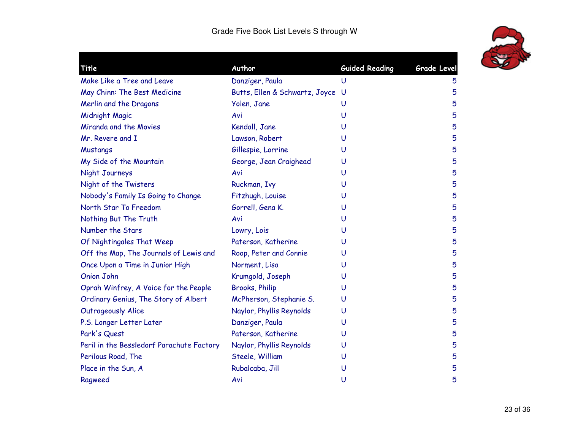

| Title                                     | Author                         | <b>Guided Reading</b> | <b>Grade Level</b> |
|-------------------------------------------|--------------------------------|-----------------------|--------------------|
| Make Like a Tree and Leave                | Danziger, Paula                | U                     | 5                  |
| May Chinn: The Best Medicine              | Butts, Ellen & Schwartz, Joyce | U                     | 5                  |
| Merlin and the Dragons                    | Yolen, Jane                    | U                     | 5                  |
| Midnight Magic                            | Avi                            | U                     | 5                  |
| Miranda and the Movies                    | Kendall, Jane                  | U                     | 5                  |
| Mr. Revere and I                          | Lawson, Robert                 | U                     | 5                  |
| Mustangs                                  | Gillespie, Lorrine             | U                     | 5                  |
| My Side of the Mountain                   | George, Jean Craighead         | U                     | 5                  |
| Night Journeys                            | Avi                            | U                     | 5                  |
| Night of the Twisters                     | Ruckman, Ivy                   | U                     | 5                  |
| Nobody's Family Is Going to Change        | Fitzhugh, Louise               | U                     | 5                  |
| North Star To Freedom                     | Gorrell, Gena K.               | U                     | 5                  |
| Nothing But The Truth                     | Avi                            | U                     | 5                  |
| Number the Stars                          | Lowry, Lois                    | U                     | 5                  |
| Of Nightingales That Weep                 | Paterson, Katherine            | U                     | 5                  |
| Off the Map, The Journals of Lewis and    | Roop, Peter and Connie         | U                     | 5                  |
| Once Upon a Time in Junior High           | Norment, Lisa                  | U                     | 5                  |
| <b>Onion John</b>                         | Krumgold, Joseph               | U                     | 5                  |
| Oprah Winfrey, A Voice for the People     | <b>Brooks, Philip</b>          | U                     | 5                  |
| Ordinary Genius, The Story of Albert      | McPherson, Stephanie S.        | U                     | 5                  |
| <b>Outrageously Alice</b>                 | Naylor, Phyllis Reynolds       | U                     | 5                  |
| P.S. Longer Letter Later                  | Danziger, Paula                | U                     | 5                  |
| Park's Quest                              | Paterson, Katherine            | U                     | 5                  |
| Peril in the Bessledorf Parachute Factory | Naylor, Phyllis Reynolds       | U                     | 5                  |
| Perilous Road, The                        | Steele, William                | U                     | 5                  |
| Place in the Sun, A                       | Rubalcaba, Jill                | U                     | 5                  |
| Ragweed                                   | Avi                            | U                     | 5                  |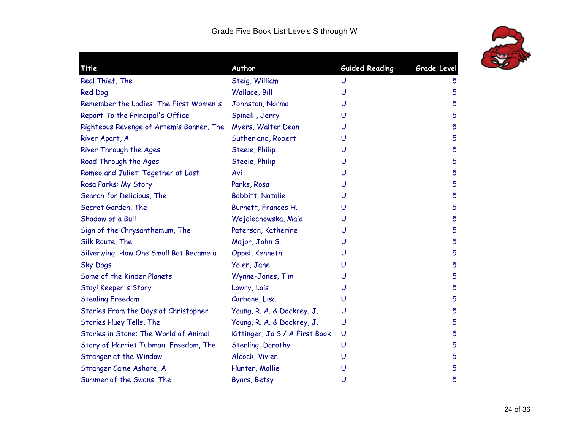

| Title                                    | Author                         | <b>Guided Reading</b> | Grade Level |
|------------------------------------------|--------------------------------|-----------------------|-------------|
| Real Thief, The                          | Steig, William                 | U                     | 5           |
| Red Dog                                  | Wallace, Bill                  | U                     | 5           |
| Remember the Ladies: The First Women's   | Johnston, Norma                | U                     | 5           |
| Report To the Principal's Office         | Spinelli, Jerry                | U                     | 5           |
| Righteous Revenge of Artemis Bonner, The | Myers, Walter Dean             | U                     | 5           |
| River Apart, A                           | Sutherland, Robert             | U                     | 5           |
| River Through the Ages                   | Steele, Philip                 | U                     | 5           |
| Road Through the Ages                    | Steele, Philip                 | U                     | 5           |
| Romeo and Juliet: Together at Last       | Avi                            | U                     | 5           |
| Rosa Parks: My Story                     | Parks, Rosa                    | U                     | 5           |
| Search for Delicious, The                | <b>Babbitt, Natalie</b>        | U                     | 5           |
| Secret Garden, The                       | Burnett, Frances H.            | U                     | 5           |
| Shadow of a Bull                         | Wojciechowska, Maia            | U                     | 5           |
| Sign of the Chrysanthemum, The           | Paterson, Katherine            | U                     | 5           |
| Silk Route, The                          | Major, John S.                 | U                     | 5           |
| Silverwing: How One Small Bat Became a   | Oppel, Kenneth                 | U                     | 5           |
| <b>Sky Dogs</b>                          | Yolen, Jane                    | U                     | 5           |
| Some of the Kinder Planets               | Wynne-Jones, Tim               | U                     | 5           |
| Stay! Keeper's Story                     | Lowry, Lois                    | U                     | 5           |
| <b>Stealing Freedom</b>                  | Carbone, Lisa                  | U                     | 5           |
| Stories From the Days of Christopher     | Young, R. A. & Dockrey, J.     | U                     | 5           |
| Stories Huey Tells, The                  | Young, R. A. & Dockrey, J.     | U                     | 5           |
| Stories in Stone: The World of Animal    | Kittinger, Jo.S./ A First Book | U                     | 5           |
| Story of Harriet Tubman: Freedom, The    | Sterling, Dorothy              | U                     | 5           |
| Stranger at the Window                   | Alcock, Vivien                 | U                     | 5           |
| Stranger Came Ashore, A                  | Hunter, Mollie                 | U                     | 5           |
| Summer of the Swans, The                 | Byars, Betsy                   | U                     | 5           |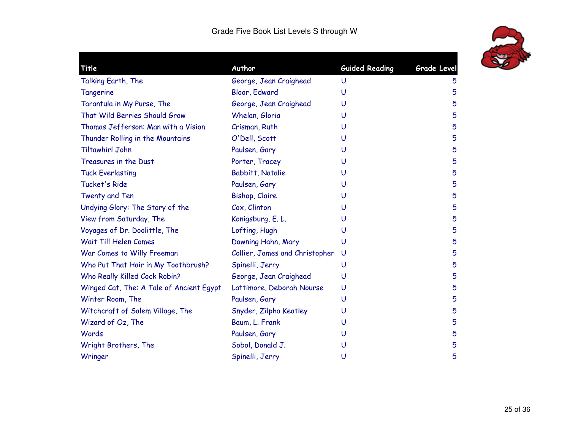| Title                                    | Author                         | <b>Guided Reading</b> | <b>Grade Level</b> |
|------------------------------------------|--------------------------------|-----------------------|--------------------|
| Talking Earth, The                       | George, Jean Craighead         | U                     | 5                  |
| Tangerine                                | Bloor, Edward                  | U                     | 5                  |
| Tarantula in My Purse, The               | George, Jean Craighead         | U                     | 5                  |
| That Wild Berries Should Grow            | Whelan, Gloria                 | U                     | 5                  |
| Thomas Jefferson: Man with a Vision      | Crisman, Ruth                  | U                     | 5                  |
| Thunder Rolling in the Mountains         | O'Dell, Scott                  | U                     | 5                  |
| <b>Tiltawhirl John</b>                   | Paulsen, Gary                  | U                     | 5                  |
| Treasures in the Dust                    | Porter, Tracey                 | U                     | 5                  |
| <b>Tuck Everlasting</b>                  | Babbitt, Natalie               | U                     | 5                  |
| Tucket's Ride                            | Paulsen, Gary                  | U                     | 5                  |
| Twenty and Ten                           | Bishop, Claire                 | U                     | 5                  |
| Undying Glory: The Story of the          | Cox, Clinton                   | U                     | 5                  |
| View from Saturday, The                  | Konigsburg, E. L.              | U                     | 5                  |
| Voyages of Dr. Doolittle, The            | Lofting, Hugh                  | U                     | 5                  |
| Wait Till Helen Comes                    | Downing Hahn, Mary             | U                     | 5                  |
| War Comes to Willy Freeman               | Collier, James and Christopher | U                     | 5                  |
| Who Put That Hair in My Toothbrush?      | Spinelli, Jerry                | U                     | 5                  |
| Who Really Killed Cock Robin?            | George, Jean Craighead         | U                     | 5                  |
| Winged Cat, The: A Tale of Ancient Egypt | Lattimore, Deborah Nourse      | U                     | 5                  |
| Winter Room, The                         | Paulsen, Gary                  | U                     | 5                  |
| Witchcraft of Salem Village, The         | Snyder, Zilpha Keatley         | U                     | 5                  |
| Wizard of Oz, The                        | Baum, L. Frank                 | U                     | 5                  |
| Words                                    | Paulsen, Gary                  | U                     | 5                  |
| Wright Brothers, The                     | Sobol, Donald J.               | U                     | 5                  |
| Wringer                                  | Spinelli, Jerry                | U                     | 5                  |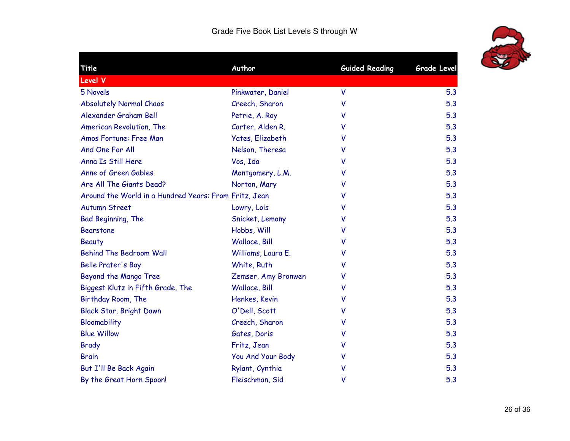| Title                                                 | Author                  | <b>Guided Reading</b> | Grade Level |
|-------------------------------------------------------|-------------------------|-----------------------|-------------|
| Level V                                               |                         |                       |             |
| 5 Novels                                              | Pinkwater, Daniel       | V                     | 5.3         |
| <b>Absolutely Normal Chaos</b>                        | Creech, Sharon          | V                     | 5.3         |
| Alexander Graham Bell                                 | Petrie, A. Roy          | v                     | 5.3         |
| American Revolution, The                              | Carter, Alden R.        | v                     | 5.3         |
| Amos Fortune: Free Man                                | <b>Yates, Elizabeth</b> | V                     | 5.3         |
| And One For All                                       | Nelson, Theresa         | v                     | 5.3         |
| Anna Is Still Here                                    | Vos, Ida                | V                     | 5.3         |
| Anne of Green Gables                                  | Montgomery, L.M.        | v                     | 5.3         |
| Are All The Giants Dead?                              | Norton, Mary            | V                     | 5.3         |
| Around the World in a Hundred Years: From Fritz, Jean |                         | v                     | 5.3         |
| <b>Autumn Street</b>                                  | Lowry, Lois             | v                     | 5.3         |
| Bad Beginning, The                                    | Snicket, Lemony         | v                     | 5.3         |
| <b>Bearstone</b>                                      | Hobbs, Will             | v                     | 5.3         |
| <b>Beauty</b>                                         | Wallace, Bill           | v                     | 5.3         |
| <b>Behind The Bedroom Wall</b>                        | Williams, Laura E.      | v                     | 5.3         |
| <b>Belle Prater's Boy</b>                             | White, Ruth             | v                     | 5.3         |
| Beyond the Mango Tree                                 | Zemser, Amy Bronwen     | v                     | 5.3         |
| Biggest Klutz in Fifth Grade, The                     | Wallace, Bill           | V                     | 5.3         |
| Birthday Room, The                                    | Henkes, Kevin           | V                     | 5.3         |
| Black Star, Bright Dawn                               | O'Dell, Scott           | v                     | 5.3         |
| Bloomability                                          | Creech, Sharon          | v                     | 5.3         |
| <b>Blue Willow</b>                                    | Gates, Doris            | V                     | 5.3         |
| <b>Brady</b>                                          | Fritz, Jean             | V                     | 5.3         |
| <b>Brain</b>                                          | You And Your Body       | v                     | 5.3         |
| But I'll Be Back Again                                | Rylant, Cynthia         | V                     | 5.3         |
| By the Great Horn Spoon!                              | Fleischman, Sid         | v                     | 5.3         |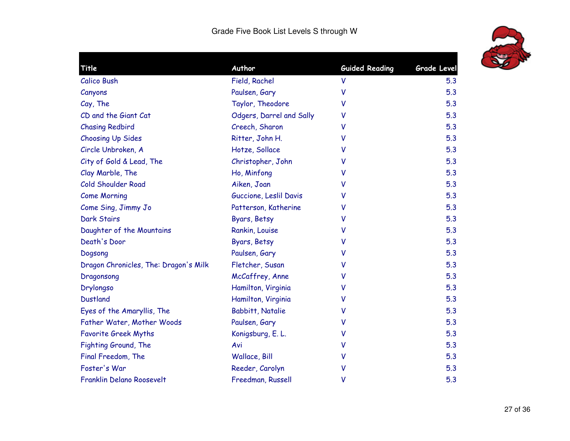

| Title                                 | Author                   | <b>Guided Reading</b> | <b>Grade Level</b> |
|---------------------------------------|--------------------------|-----------------------|--------------------|
| <b>Calico Bush</b>                    | Field, Rachel            | V                     | 5.3                |
| Canyons                               | Paulsen, Gary            | V                     | 5.3                |
| Cay, The                              | Taylor, Theodore         | v                     | 5.3                |
| CD and the Giant Cat                  | Odgers, Darrel and Sally | V                     | 5.3                |
| <b>Chasing Redbird</b>                | Creech, Sharon           | v                     | 5.3                |
| <b>Choosing Up Sides</b>              | Ritter, John H.          | v                     | 5.3                |
| Circle Unbroken, A                    | Hotze, Sollace           | v                     | 5.3                |
| City of Gold & Lead, The              | Christopher, John        | v                     | 5.3                |
| Clay Marble, The                      | Ho, Minfong              | ٧                     | 5.3                |
| Cold Shoulder Road                    | Aiken, Joan              | v                     | 5.3                |
| <b>Come Morning</b>                   | Guccione, Leslil Davis   | V                     | 5.3                |
| Come Sing, Jimmy Jo                   | Patterson, Katherine     | v                     | 5.3                |
| <b>Dark Stairs</b>                    | Byars, Betsy             | v                     | 5.3                |
| Daughter of the Mountains             | Rankin, Louise           | V                     | 5.3                |
| Death's Door                          | Byars, Betsy             | ۷                     | 5.3                |
| Dogsong                               | Paulsen, Gary            | V                     | 5.3                |
| Dragon Chronicles, The: Dragon's Milk | Fletcher, Susan          | v                     | 5.3                |
| Dragonsong                            | McCaffrey, Anne          | v                     | 5.3                |
| Drylongso                             | Hamilton, Virginia       | ۷                     | 5.3                |
| <b>Dustland</b>                       | Hamilton, Virginia       | v                     | 5.3                |
| Eyes of the Amaryllis, The            | <b>Babbitt, Natalie</b>  | v                     | 5.3                |
| Father Water, Mother Woods            | Paulsen, Gary            | v                     | 5.3                |
| <b>Favorite Greek Myths</b>           | Konigsburg, E. L.        | v                     | 5.3                |
| Fighting Ground, The                  | Avi                      | V                     | 5.3                |
| Final Freedom, The                    | Wallace, Bill            | ۷                     | 5.3                |
| Foster's War                          | Reeder, Carolyn          | V                     | 5.3                |
| <b>Franklin Delano Roosevelt</b>      | Freedman, Russell        | V                     | 5.3                |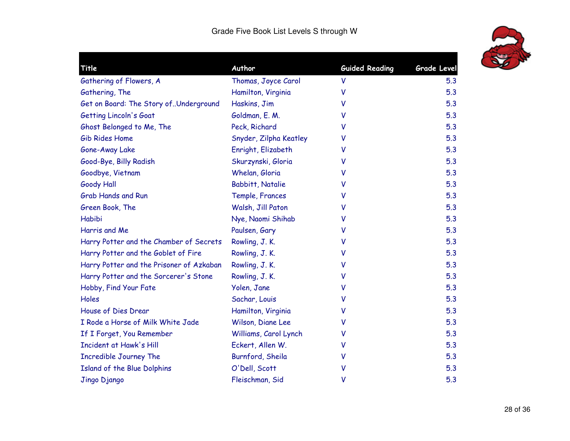

| Title                                    | Author                 | <b>Guided Reading</b> | <b>Grade Level</b> |
|------------------------------------------|------------------------|-----------------------|--------------------|
| Gathering of Flowers, A                  | Thomas, Joyce Carol    | V                     | 5.3                |
| Gathering, The                           | Hamilton, Virginia     | v                     | 5.3                |
| Get on Board: The Story ofUnderground    | Haskins, Jim           | V                     | 5.3                |
| Getting Lincoln's Goat                   | Goldman, E. M.         | v                     | 5.3                |
| Ghost Belonged to Me, The                | Peck, Richard          | v                     | 5.3                |
| Gib Rides Home                           | Snyder, Zilpha Keatley | v                     | 5.3                |
| Gone-Away Lake                           | Enright, Elizabeth     | v                     | 5.3                |
| Good-Bye, Billy Radish                   | Skurzynski, Gloria     | v                     | 5.3                |
| Goodbye, Vietnam                         | Whelan, Gloria         | v                     | 5.3                |
| <b>Goody Hall</b>                        | Babbitt, Natalie       | v                     | 5.3                |
| <b>Grab Hands and Run</b>                | Temple, Frances        | v                     | 5.3                |
| Green Book, The                          | Walsh, Jill Paton      | v                     | 5.3                |
| Habibi                                   | Nye, Naomi Shihab      | v                     | 5.3                |
| Harris and Me                            | Paulsen, Gary          | v                     | 5.3                |
| Harry Potter and the Chamber of Secrets  | Rowling, J.K.          | v                     | 5.3                |
| Harry Potter and the Goblet of Fire      | Rowling, J.K.          | v                     | 5.3                |
| Harry Potter and the Prisoner of Azkaban | Rowling, J.K.          | V                     | 5.3                |
| Harry Potter and the Sorcerer's Stone    | Rowling, J.K.          | V                     | 5.3                |
| Hobby, Find Your Fate                    | Yolen, Jane            | V                     | 5.3                |
| Holes                                    | Sachar, Louis          | v                     | 5.3                |
| House of Dies Drear                      | Hamilton, Virginia     | v                     | 5.3                |
| I Rode a Horse of Milk White Jade        | Wilson, Diane Lee      | v                     | 5.3                |
| If I Forget, You Remember                | Williams, Carol Lynch  | v                     | 5.3                |
| Incident at Hawk's Hill                  | Eckert, Allen W.       | V                     | 5.3                |
| <b>Incredible Journey The</b>            | Burnford, Sheila       | v                     | 5.3                |
| Island of the Blue Dolphins              | O'Dell, Scott          | V                     | 5.3                |
| Jingo Django                             | Fleischman, Sid        | V                     | 5.3                |
|                                          |                        |                       |                    |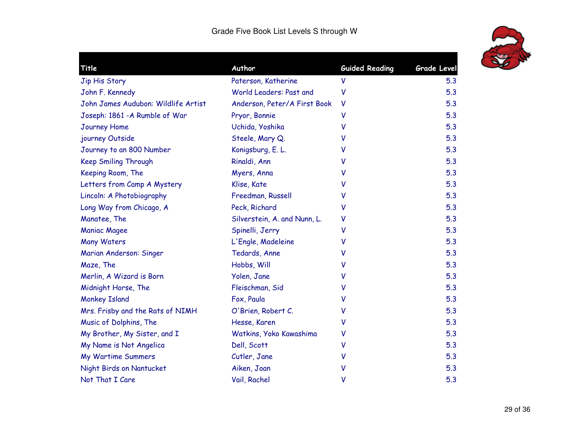

| Title                               | Author                       | <b>Guided Reading</b> | <b>Grade Level</b> |
|-------------------------------------|------------------------------|-----------------------|--------------------|
| Jip His Story                       | Paterson, Katherine          | V                     | 5.3                |
| John F. Kennedy                     | World Leaders: Past and      | ۷                     | 5.3                |
| John James Audubon: Wildlife Artist | Anderson, Peter/A First Book | V                     | 5.3                |
| Joseph: 1861 - A Rumble of War      | Pryor, Bonnie                | v                     | 5.3                |
| <b>Journey Home</b>                 | Uchida, Yoshika              | v                     | 5.3                |
| journey Outside                     | Steele, Mary Q.              | v                     | 5.3                |
| Journey to an 800 Number            | Konigsburg, E. L.            | v                     | 5.3                |
| <b>Keep Smiling Through</b>         | Rinaldi, Ann                 | v                     | 5.3                |
| Keeping Room, The                   | Myers, Anna                  | v                     | 5.3                |
| Letters from Camp A Mystery         | Klise, Kate                  | ۷                     | 5.3                |
| Lincoln: A Photobiography           | Freedman, Russell            | v                     | 5.3                |
| Long Way from Chicago, A            | Peck, Richard                | ۷                     | 5.3                |
| Manatee, The                        | Silverstein, A. and Nunn, L. | V                     | 5.3                |
| <b>Maniac Magee</b>                 | Spinelli, Jerry              | v                     | 5.3                |
| <b>Many Waters</b>                  | L'Engle, Madeleine           | v                     | 5.3                |
| Marian Anderson: Singer             | Tedards, Anne                | v                     | 5.3                |
| Maze, The                           | Hobbs, Will                  | v                     | 5.3                |
| Merlin, A Wizard is Born            | Yolen, Jane                  | v                     | 5.3                |
| Midnight Horse, The                 | Fleischman, Sid              | V                     | 5.3                |
| <b>Monkey Island</b>                | Fox, Paula                   | v                     | 5.3                |
| Mrs. Frisby and the Rats of NIMH    | O'Brien, Robert C.           | ٧                     | 5.3                |
| Music of Dolphins, The              | Hesse, Karen                 | ۷                     | 5.3                |
| My Brother, My Sister, and I        | Watkins, Yoko Kawashima      | V                     | 5.3                |
| My Name is Not Angelica             | Dell, Scott                  | V                     | 5.3                |
| <b>My Wartime Summers</b>           | Cutler, Jane                 | v                     | 5.3                |
| Night Birds on Nantucket            | Aiken, Joan                  | ۷                     | 5.3                |
| Not That I Care                     | Vail, Rachel                 | V                     | 5.3                |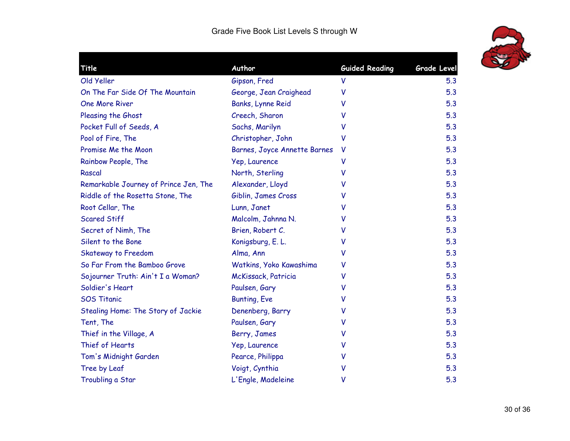

| Title                                 | Author                       | <b>Guided Reading</b> | <b>Grade Level</b> |
|---------------------------------------|------------------------------|-----------------------|--------------------|
| Old Yeller                            | Gipson, Fred                 | V                     | 5.3                |
| On The Far Side Of The Mountain       | George, Jean Craighead       | v                     | 5.3                |
| <b>One More River</b>                 | Banks, Lynne Reid            | v                     | 5.3                |
| Pleasing the Ghost                    | Creech, Sharon               | v                     | 5.3                |
| Pocket Full of Seeds, A               | Sachs, Marilyn               | v                     | 5.3                |
| Pool of Fire, The                     | Christopher, John            | V                     | 5.3                |
| Promise Me the Moon                   | Barnes, Joyce Annette Barnes | v                     | 5.3                |
| Rainbow People, The                   | Yep, Laurence                | V                     | 5.3                |
| Rascal                                | North, Sterling              | ٧                     | 5.3                |
| Remarkable Journey of Prince Jen, The | Alexander, Lloyd             | v                     | 5.3                |
| Riddle of the Rosetta Stone, The      | Giblin, James Cross          | v                     | 5.3                |
| Root Cellar, The                      | Lunn, Janet                  | v                     | 5.3                |
| <b>Scared Stiff</b>                   | Malcolm, Jahnna N.           | v                     | 5.3                |
| Secret of Nimh, The                   | Brien, Robert C.             | v                     | 5.3                |
| Silent to the Bone                    | Konigsburg, E. L.            | v                     | 5.3                |
| Skateway to Freedom                   | Alma, Ann                    | v                     | 5.3                |
| So Far From the Bamboo Grove          | Watkins, Yoko Kawashima      | v                     | 5.3                |
| Sojourner Truth: Ain't I a Woman?     | McKissack, Patricia          | v                     | 5.3                |
| Soldier's Heart                       | Paulsen, Gary                | v                     | 5.3                |
| <b>SOS Titanic</b>                    | Bunting, Eve                 | v                     | 5.3                |
| Stealing Home: The Story of Jackie    | Denenberg, Barry             | v                     | 5.3                |
| Tent, The                             | Paulsen, Gary                | v                     | 5.3                |
| Thief in the Village, A               | Berry, James                 | v                     | 5.3                |
| Thief of Hearts                       | Yep, Laurence                | v                     | 5.3                |
| Tom's Midnight Garden                 | Pearce, Philippa             | v                     | 5.3                |
| Tree by Leaf                          | Voigt, Cynthia               | v                     | 5.3                |
| Troubling a Star                      | L'Engle, Madeleine           | V                     | 5.3                |
|                                       |                              |                       |                    |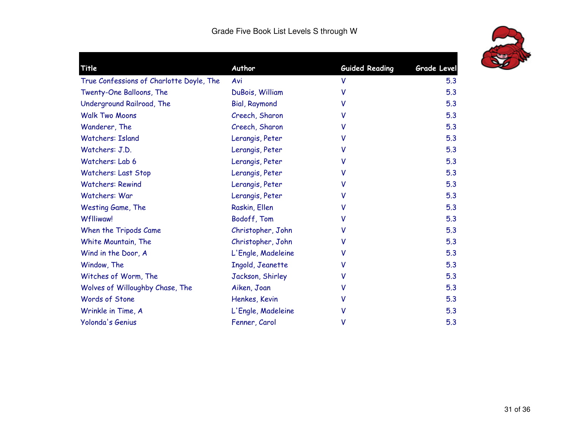

| Title                                    | Author               | <b>Guided Reading</b> | Grade Level |
|------------------------------------------|----------------------|-----------------------|-------------|
| True Confessions of Charlotte Doyle, The | Avi                  | V                     | 5.3         |
| Twenty-One Balloons, The                 | DuBois, William      | v                     | 5.3         |
| Underground Railroad, The                | <b>Bial, Raymond</b> | v                     | 5.3         |
| <b>Walk Two Moons</b>                    | Creech, Sharon       | v                     | 5.3         |
| Wanderer, The                            | Creech, Sharon       | v                     | 5.3         |
| <b>Watchers: Island</b>                  | Lerangis, Peter      | v                     | 5.3         |
| Watchers: J.D.                           | Lerangis, Peter      | v                     | 5.3         |
| Watchers: Lab 6                          | Lerangis, Peter      | v                     | 5.3         |
| Watchers: Last Stop                      | Lerangis, Peter      | v                     | 5.3         |
| <b>Watchers: Rewind</b>                  | Lerangis, Peter      | v                     | 5.3         |
| Watchers: War                            | Lerangis, Peter      | v                     | 5.3         |
| Westing Game, The                        | Raskin, Ellen        | v                     | 5.3         |
| <b>Wflliwaw!</b>                         | Bodoff, Tom          | v                     | 5.3         |
| When the Tripods Came                    | Christopher, John    | v                     | 5.3         |
| White Mountain, The                      | Christopher, John    | v                     | 5.3         |
| Wind in the Door, A                      | L'Engle, Madeleine   | v                     | 5.3         |
| Window, The                              | Ingold, Jeanette     | v                     | 5.3         |
| Witches of Worm, The                     | Jackson, Shirley     | v                     | 5.3         |
| Wolves of Willoughby Chase, The          | Aiken, Joan          | v                     | 5.3         |
| Words of Stone                           | Henkes, Kevin        | v                     | 5.3         |
| Wrinkle in Time, A                       | L'Engle, Madeleine   |                       | 5.3         |
| Yolonda's Genius                         | Fenner, Carol        | ۷                     | 5.3         |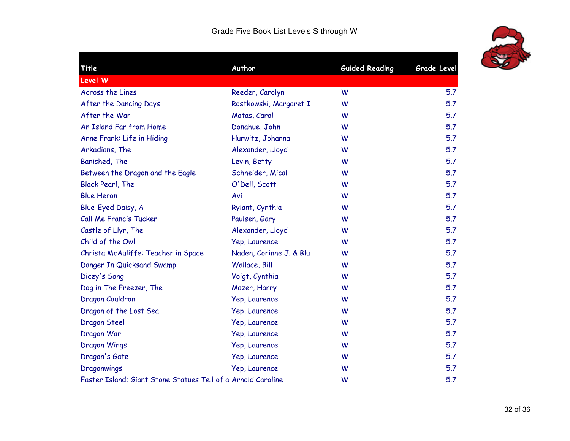| Title                                                        | Author                  | <b>Guided Reading</b> | <b>Grade Level</b> |
|--------------------------------------------------------------|-------------------------|-----------------------|--------------------|
| <b>Level W</b>                                               |                         |                       |                    |
| <b>Across the Lines</b>                                      | Reeder, Carolyn         | W                     | 5.7                |
| After the Dancing Days                                       | Rostkowski, Margaret I  | W                     | 5.7                |
| After the War                                                | Matas, Carol            | W                     | 5.7                |
| An Island Far from Home                                      | Donahue, John           | W                     | 5.7                |
| Anne Frank: Life in Hiding                                   | Hurwitz, Johanna        | W                     | 5.7                |
| Arkadians, The                                               | Alexander, Lloyd        | W                     | 5.7                |
| Banished, The                                                | Levin, Betty            | W                     | 5.7                |
| Between the Dragon and the Eagle                             | Schneider, Mical        | W                     | 5.7                |
| <b>Black Pearl, The</b>                                      | O'Dell, Scott           | W                     | 5.7                |
| <b>Blue Heron</b>                                            | Avi                     | W                     | 5.7                |
| Blue-Eyed Daisy, A                                           | Rylant, Cynthia         | W                     | 5.7                |
| Call Me Francis Tucker                                       | Paulsen, Gary           | W                     | 5.7                |
| Castle of Llyr, The                                          | Alexander, Lloyd        | W                     | 5.7                |
| Child of the Owl                                             | Yep, Laurence           | W                     | 5.7                |
| Christa McAuliffe: Teacher in Space                          | Naden, Corinne J. & Blu | W                     | 5.7                |
| Danger In Quicksand Swamp                                    | Wallace, Bill           | W                     | 5.7                |
| Dicey's Song                                                 | Voigt, Cynthia          | W                     | 5.7                |
| Dog in The Freezer, The                                      | Mazer, Harry            | W                     | 5.7                |
| Dragon Cauldron                                              | Yep, Laurence           | W                     | 5.7                |
| Dragon of the Lost Sea                                       | Yep, Laurence           | W                     | 5.7                |
| Dragon Steel                                                 | Yep, Laurence           | W                     | 5.7                |
| Dragon War                                                   | Yep, Laurence           | W                     | 5.7                |
| Dragon Wings                                                 | Yep, Laurence           | W                     | 5.7                |
| Dragon's Gate                                                | Yep, Laurence           | W                     | 5.7                |
| Dragonwings                                                  | Yep, Laurence           | W                     | 5.7                |
| Easter Island: Giant Stone Statues Tell of a Arnold Caroline |                         | W                     | 5.7                |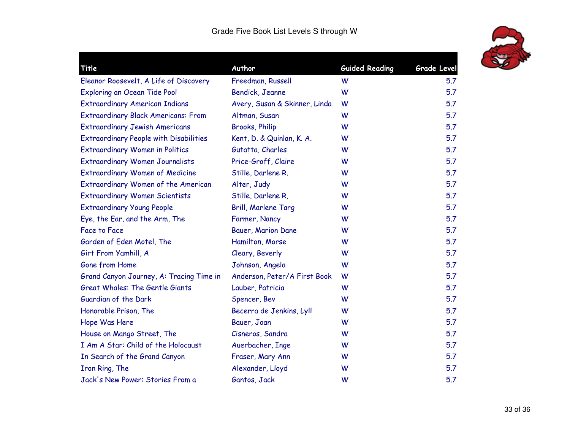

| Title                                         | Author                        | <b>Guided Reading</b> | Grade Level |
|-----------------------------------------------|-------------------------------|-----------------------|-------------|
| Eleanor Roosevelt, A Life of Discovery        | Freedman, Russell             | W                     | 5.7         |
| Exploring an Ocean Tide Pool                  | Bendick, Jeanne               | W                     | 5.7         |
| <b>Extraordinary American Indians</b>         | Avery, Susan & Skinner, Linda | W                     | 5.7         |
| <b>Extraordinary Black Americans: From</b>    | Altman, Susan                 | W                     | 5.7         |
| <b>Extraordinary Jewish Americans</b>         | <b>Brooks, Philip</b>         | W                     | 5.7         |
| <b>Extraordinary People with Disabilities</b> | Kent, D. & Quinlan, K. A.     | W                     | 5.7         |
| <b>Extraordinary Women in Politics</b>        | Gutatta, Charles              | W                     | 5.7         |
| <b>Extraordinary Women Journalists</b>        | Price-Groff, Claire           | W                     | 5.7         |
| <b>Extraordinary Women of Medicine</b>        | Stille, Darlene R.            | W                     | 5.7         |
| Extraordinary Women of the American           | Alter, Judy                   | W                     | 5.7         |
| <b>Extraordinary Women Scientists</b>         | Stille, Darlene R,            | W                     | 5.7         |
| <b>Extraordinary Young People</b>             | Brill, Marlene Targ           | W                     | 5.7         |
| Eye, the Ear, and the Arm, The                | Farmer, Nancy                 | W                     | 5.7         |
| Face to Face                                  | Bauer, Marion Dane            | W                     | 5.7         |
| Garden of Eden Motel, The                     | Hamilton, Morse               | W                     | 5.7         |
| Girt From Yamhill, A                          | Cleary, Beverly               | W                     | 5.7         |
| Gone from Home                                | Johnson, Angela               | W                     | 5.7         |
| Grand Canyon Journey, A: Tracing Time in      | Anderson, Peter/A First Book  | W                     | 5.7         |
| <b>Great Whales: The Gentle Giants</b>        | Lauber, Patricia              | W                     | 5.7         |
| Guardian of the Dark                          | Spencer, Bev                  | W                     | 5.7         |
| Honorable Prison, The                         | Becerra de Jenkins, Lyll      | W                     | 5.7         |
| Hope Was Here                                 | Bauer, Joan                   | W                     | 5.7         |
| House on Mango Street, The                    | Cisneros, Sandra              | W                     | 5.7         |
| I Am A Star: Child of the Holocaust           | Auerbacher, Inge              | W                     | 5.7         |
| In Search of the Grand Canyon                 | Fraser, Mary Ann              | W                     | 5.7         |
| Iron Ring, The                                | Alexander, Lloyd              | W                     | 5.7         |
| Jack's New Power: Stories From a              | Gantos, Jack                  | W                     | 5.7         |
|                                               |                               |                       |             |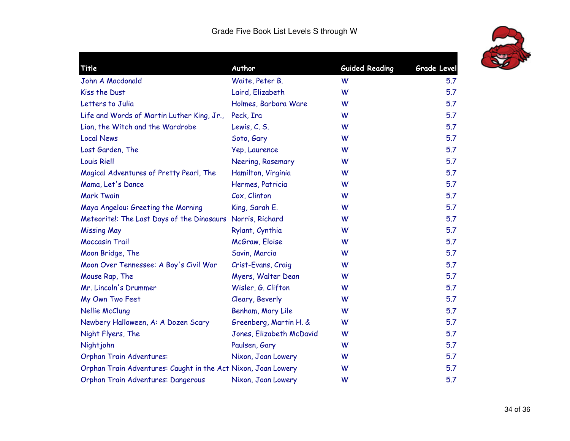

| Title                                                         | Author                   | <b>Guided Reading</b> | Grade Level |
|---------------------------------------------------------------|--------------------------|-----------------------|-------------|
| John A Macdonald                                              | Waite, Peter B.          | W                     | 5.7         |
| Kiss the Dust                                                 | Laird, Elizabeth         | W                     | 5.7         |
| Letters to Julia                                              | Holmes, Barbara Ware     | W                     | 5.7         |
| Life and Words of Martin Luther King, Jr.,                    | Peck, Ira                | W                     | 5.7         |
| Lion, the Witch and the Wardrobe                              | Lewis, C. S.             | W                     | 5.7         |
| <b>Local News</b>                                             | Soto, Gary               | W                     | 5.7         |
| Lost Garden, The                                              | Yep, Laurence            | W                     | 5.7         |
| <b>Louis Riell</b>                                            | Neering, Rosemary        | W                     | 5.7         |
| Magical Adventures of Pretty Pearl, The                       | Hamilton, Virginia       | W                     | 5.7         |
| Mama, Let's Dance                                             | Hermes, Patricia         | W                     | 5.7         |
| <b>Mark Twain</b>                                             | Cox, Clinton             | W                     | 5.7         |
| Maya Angelou: Greeting the Morning                            | King, Sarah E.           | W                     | 5.7         |
| Meteorite!: The Last Days of the Dinosaurs Norris, Richard    |                          | W                     | 5.7         |
| <b>Missing May</b>                                            | Rylant, Cynthia          | W                     | 5.7         |
| <b>Moccasin Trail</b>                                         | McGraw, Eloise           | W                     | 5.7         |
| Moon Bridge, The                                              | Savin, Marcia            | W                     | 5.7         |
| Moon Over Tennessee: A Boy's Civil War                        | Crist-Evans, Craig       | W                     | 5.7         |
| Mouse Rap, The                                                | Myers, Walter Dean       | W                     | 5.7         |
| Mr. Lincoln's Drummer                                         | Wisler, G. Clifton       | W                     | 5.7         |
| My Own Two Feet                                               | Cleary, Beverly          | W                     | 5.7         |
| Nellie McClung                                                | Benham, Mary Lile        | W                     | 5.7         |
| Newbery Halloween, A: A Dozen Scary                           | Greenberg, Martin H. &   | W                     | 5.7         |
| Night Flyers, The                                             | Jones, Elizabeth McDavid | W                     | 5.7         |
| Nightjohn                                                     | Paulsen, Gary            | W                     | 5.7         |
| <b>Orphan Train Adventures:</b>                               | Nixon, Joan Lowery       | W                     | 5.7         |
| Orphan Train Adventures: Caught in the Act Nixon, Joan Lowery |                          | W                     | 5.7         |
| Orphan Train Adventures: Dangerous                            | Nixon, Joan Lowery       | W                     | 5.7         |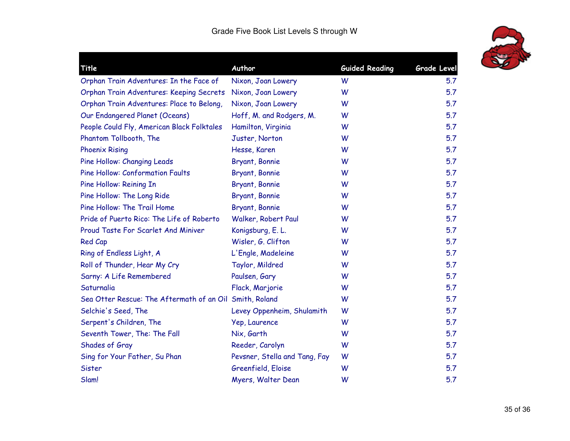

| Title                                                   | Author                        | <b>Guided Reading</b> | Grade Level |
|---------------------------------------------------------|-------------------------------|-----------------------|-------------|
| Orphan Train Adventures: In the Face of                 | Nixon, Joan Lowery            | W                     | 5.7         |
| Orphan Train Adventures: Keeping Secrets                | Nixon, Joan Lowery            | W                     | 5.7         |
| Orphan Train Adventures: Place to Belong,               | Nixon, Joan Lowery            | W                     | 5.7         |
| Our Endangered Planet (Oceans)                          | Hoff, M. and Rodgers, M.      | W                     | 5.7         |
| People Could Fly, American Black Folktales              | Hamilton, Virginia            | W                     | 5.7         |
| Phantom Tollbooth, The                                  | Juster, Norton                | W                     | 5.7         |
| <b>Phoenix Rising</b>                                   | Hesse, Karen                  | W                     | 5.7         |
| Pine Hollow: Changing Leads                             | Bryant, Bonnie                | W                     | 5.7         |
| <b>Pine Hollow: Conformation Faults</b>                 | Bryant, Bonnie                | W                     | 5.7         |
| Pine Hollow: Reining In                                 | Bryant, Bonnie                | W                     | 5.7         |
| Pine Hollow: The Long Ride                              | Bryant, Bonnie                | W                     | 5.7         |
| Pine Hollow: The Trail Home                             | Bryant, Bonnie                | W                     | 5.7         |
| Pride of Puerto Rico: The Life of Roberto               | Walker, Robert Paul           | W                     | 5.7         |
| Proud Taste For Scarlet And Miniver                     | Konigsburg, E. L.             | W                     | 5.7         |
| Red Cap                                                 | Wisler, G. Clifton            | W                     | 5.7         |
| Ring of Endless Light, A                                | L'Engle, Madeleine            | W                     | 5.7         |
| Roll of Thunder, Hear My Cry                            | Taylor, Mildred               | W                     | 5.7         |
| Sarny: A Life Remembered                                | Paulsen, Gary                 | W                     | 5.7         |
| Saturnalia                                              | Flack, Marjorie               | W                     | 5.7         |
| Sea Otter Rescue: The Aftermath of an Oil Smith, Roland |                               | W                     | 5.7         |
| Selchie's Seed, The                                     | Levey Oppenheim, Shulamith    | W                     | 5.7         |
| Serpent's Children, The                                 | Yep, Laurence                 | W                     | 5.7         |
| Seventh Tower, The: The Fall                            | Nix, Garth                    | W                     | 5.7         |
| Shades of Gray                                          | Reeder, Carolyn               | W                     | 5.7         |
| Sing for Your Father, Su Phan                           | Pevsner, Stella and Tang, Fay | W                     | 5.7         |
| Sister                                                  | Greenfield, Eloise            | W                     | 5.7         |
| Slam!                                                   | Myers, Walter Dean            | W                     | 5.7         |
|                                                         |                               |                       |             |